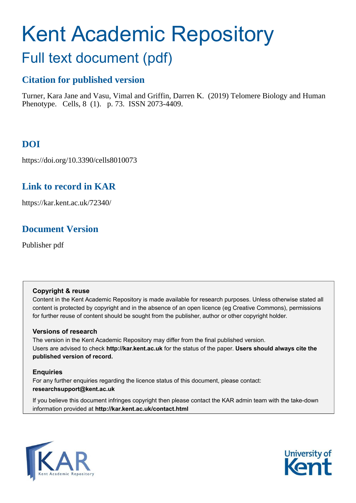# Kent Academic Repository

## Full text document (pdf)

## **Citation for published version**

Turner, Kara Jane and Vasu, Vimal and Griffin, Darren K. (2019) Telomere Biology and Human Phenotype. Cells, 8 (1). p. 73. ISSN 2073-4409.

## **DOI**

https://doi.org/10.3390/cells8010073

## **Link to record in KAR**

https://kar.kent.ac.uk/72340/

## **Document Version**

Publisher pdf

#### **Copyright & reuse**

Content in the Kent Academic Repository is made available for research purposes. Unless otherwise stated all content is protected by copyright and in the absence of an open licence (eg Creative Commons), permissions for further reuse of content should be sought from the publisher, author or other copyright holder.

#### **Versions of research**

The version in the Kent Academic Repository may differ from the final published version. Users are advised to check **http://kar.kent.ac.uk** for the status of the paper. **Users should always cite the published version of record.**

#### **Enquiries**

For any further enquiries regarding the licence status of this document, please contact: **researchsupport@kent.ac.uk**

If you believe this document infringes copyright then please contact the KAR admin team with the take-down information provided at **http://kar.kent.ac.uk/contact.html**



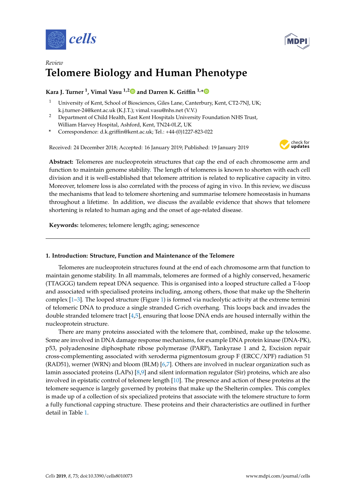



### <span id="page-1-0"></span>*Review* **Telomere Biology and Human Phenotype**

#### **Kara J. Turner <sup>1</sup> , Vimal Vasu 1,[2](https://orcid.org/0000-0003-2606-9797) and Darren K. Griffin 1,[\\*](https://orcid.org/0000-0001-7595-3226)**

- <sup>1</sup> University of Kent, School of Biosciences, Giles Lane, Canterbury, Kent, CT2-7NJ, UK; k.j.turner-24@kent.ac.uk (K.J.T.); vimal.vasu@nhs.net (V.V.)
- <sup>2</sup> Department of Child Health, East Kent Hospitals University Foundation NHS Trust, William Harvey Hospital, Ashford, Kent, TN24-0LZ, UK
- **\*** Correspondence: d.k.griffin@kent.ac.uk; Tel.: +44-(0)1227-823-022

Received: 24 December 2018; Accepted: 16 January 2019; Published: 19 January 2019



**Abstract:** Telomeres are nucleoprotein structures that cap the end of each chromosome arm and function to maintain genome stability. The length of telomeres is known to shorten with each cell division and it is well-established that telomere attrition is related to replicative capacity in vitro. Moreover, telomere loss is also correlated with the process of aging in vivo. In this review, we discuss the mechanisms that lead to telomere shortening and summarise telomere homeostasis in humans throughout a lifetime. In addition, we discuss the available evidence that shows that telomere shortening is related to human aging and the onset of age-related disease.

<span id="page-1-1"></span>**Keywords:** telomeres; telomere length; aging; senescence

#### **1. Introduction: Structure, Function and Maintenance of the Telomere**

Telomeres are nucleoprotein structures found at the end of each chromosome arm that function to maintain genome stability. In all mammals, telomeres are formed of a highly conserved, hexameric (TTAGGG) tandem repeat DNA sequence. This is organised into a looped structure called a T-loop and associated with specialised proteins including, among others, those that make up the Shelterin complex [\[1–](#page-9-0)[3\]](#page-9-1). The looped structure (Figure [1\)](#page-1-0) is formed via nucleolytic activity at the extreme termini of telomeric DNA to produce a single stranded G-rich overhang. This loops back and invades the double stranded telomere tract [\[4](#page-9-2)[,5\]](#page-10-0), ensuring that loose DNA ends are housed internally within the nucleoprotein structure.

There are many proteins associated with the telomere that, combined, make up the telosome. Some are involved in DNA damage response mechanisms, for example DNA protein kinase (DNA-PK), p53, polyadenosine diphosphate ribose polymerase (PARP), Tankyrase 1 and 2, Excision repair cross-complementing associated with xeroderma pigmentosum group F (ERCC/XPF) radiation 51 (RAD51), werner (WRN) and bloom (BLM) [\[6](#page-10-1)[,7\]](#page-10-2). Others are involved in nuclear organization such as lamin associated proteins (LAPs) [\[8,](#page-10-3)[9\]](#page-10-4) and silent information regulator (Sir) proteins, which are also involved in epistatic control of telomere length [\[10\]](#page-10-5). The presence and action of these proteins at the telomere sequence is largely governed by proteins that make up the Shelterin complex. This complex is made up of a collection of six specialized proteins that associate with the telomere structure to form a fully functional capping structure. These proteins and their characteristics are outlined in further detail in Table [1.](#page-1-1)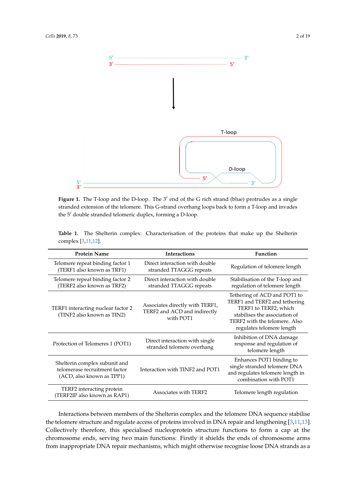

た stranded extension of the telomere. This G-strand overhang loops back to form a T-loop and invades the 5<sup>'</sup> double stranded telomeric duplex, forming a D-loop. Figure 1. The T-loop and the D-loop. The 3' end of the G rich strand (blue) protrudes as a single

| <b>Protein Name</b>                                                                         | <b>Interactions</b>                                                          | Function                                                                                                                                                                              |
|---------------------------------------------------------------------------------------------|------------------------------------------------------------------------------|---------------------------------------------------------------------------------------------------------------------------------------------------------------------------------------|
| Telomere repeat binding factor 1<br>(TERF1 also known as TRF1)                              | Direct interaction with double<br>stranded TTAGGG repeats                    | Regulation of telomere length                                                                                                                                                         |
| Telomere repeat binding factor 2<br>(TERF2 also known as TRF2)                              | Direct interaction with double<br>stranded TTAGGG repeats                    | Stabilisation of the T-loop and<br>regulation of telomere length                                                                                                                      |
| TERF1 interacting nuclear factor 2<br>(TINF2 also known as TIN2)                            | Associates directly with TERF1,<br>TERF2 and ACD and indirectly<br>with POT1 | Tethering of ACD and POT1 to<br>TERF1 and TERF2 and tethering<br>TERF1 to TERF2, which<br>stabilises the association of<br>TERF2 with the telomere. Also<br>regulates telomere length |
| Protection of Telomeres 1 (POT1)                                                            | Direct interaction with single<br>stranded telomere overhang                 | Inhibition of DNA damage<br>response and regulation of<br>telomere length                                                                                                             |
| Shelterin complex subunit and<br>telomerase recruitment factor<br>(ACD, also known as TPP1) | Interaction with TINF2 and POT1                                              | Enhances POT1 binding to<br>single stranded telomere DNA<br>and regulates telomere length in<br>combination with POT1                                                                 |
| TERF2 interacting protein<br>(TERF2IP also known as RAP1)                                   | Associates with TERF2                                                        | Telomere length regulation                                                                                                                                                            |

**Table 1.** The Shelterin complex: Characterisation of the proteins that make up the Shelterin complex [\[3](#page-9-1)[,11](#page-10-6)[,12\]](#page-10-7).

Interactions between members of the Shelterin complex and the telomere DNA sequence stabilise the telomere structure and regulate access of proteins involved in DNA repair and lengthening [\[3](#page-9-1)[,11](#page-10-6)[,13\]](#page-10-8). Collectively therefore, this specialised nucleoprotein structure functions to form a cap at the chromosome ends, serving two main functions: Firstly it shields the ends of chromosome arms from inappropriate DNA repair mechanisms, which might otherwise recognise loose DNA strands as a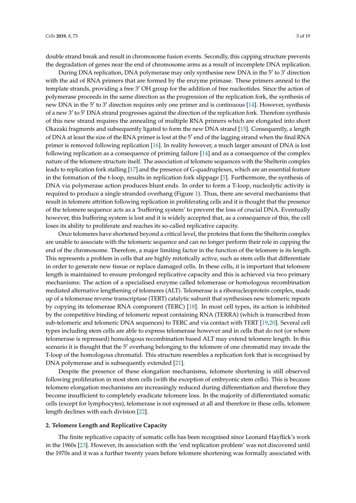double strand break and result in chromosome fusion events. Secondly, this capping structure prevents the degradation of genes near the end of chromosome arms as a result of incomplete DNA replication.

During DNA replication, DNA polymerase may only synthesise new DNA in the 5' to 3' direction with the aid of RNA primers that are formed by the enzyme primase. These primers anneal to the template strands, providing a free 3′ OH group for the addition of free nucleotides. Since the action of polymerase proceeds in the same direction as the progression of the replication fork, the synthesis of new DNA in the 5' to 3' direction requires only one primer and is continuous [\[14\]](#page-10-9). However, synthesis of a new 3′ to 5′ DNA strand progresses against the direction of the replication fork. Therefore synthesis of this new strand requires the annealing of multiple RNA primers which are elongated into short Okazaki fragments and subsequently ligated to form the new DNA strand [\[15\]](#page-10-10). Consequently, a length of DNA at least the size of the RNA primer is lost at the 5′ end of the lagging strand when the final RNA primer is removed following replication [\[16\]](#page-10-11). In reality however, a much larger amount of DNA is lost following replication as a consequence of priming failure [\[14\]](#page-10-9) and as a consequence of the complex nature of the telomere structure itself. The association of telomere sequences with the Shelterin complex leads to replication fork stalling [\[17\]](#page-10-12) and the presence of G-quadruplexes, which are an essential feature in the formation of the t-loop, results in replication fork slippage [\[5\]](#page-10-0). Furthermore, the synthesis of DNA via polymerase action produces blunt ends. In order to form a T-loop, nucleolytic activity is required to produce a single stranded overhang (Figure [1\)](#page-1-0). Thus, there are several mechanisms that result in telomere attrition following replication in proliferating cells and it is thought that the presence of the telomere sequence acts as a 'buffering system' to prevent the loss of crucial DNA. Eventually however, this buffering system is lost and it is widely accepted that, as a consequence of this, the cell loses its ability to proliferate and reaches its so-called replicative capacity.

Once telomeres have shortened beyond a critical level, the proteins that form the Shelterin complex are unable to associate with the telomeric sequence and can no longer perform their role in capping the end of the chromosome. Therefore, a major limiting factor in the function of the telomere is its length. This represents a problem in cells that are highly mitotically active, such as stem cells that differentiate in order to generate new tissue or replace damaged cells. In these cells, it is important that telomere length is maintained to ensure prolonged replicative capacity and this is achieved via two primary mechanisms: The action of a specialised enzyme called telomerase or homologous recombination mediated alternative lengthening of telomeres (ALT). Telomerase is a ribonucleoprotein complex, made up of a telomerase reverse transcriptase (TERT) catalytic subunit that synthesises new telomeric repeats by copying its telomerase RNA component (TERC) [\[18\]](#page-10-13). In most cell types, its action is inhibited by the competitive binding of telomeric repeat containing RNA (TERRA) (which is transcribed from sub-telomeric and telomeric DNA sequences) to TERC and via contact with TERT [\[19,](#page-10-14)[20\]](#page-10-15). Several cell types including stem cells are able to express telomerase however and in cells that do not (or where telomerase is repressed) homologous recombination based ALT may extend telomere length. In this scenario it is thought that the 5′ overhang belonging to the telomere of one chromatid may invade the T-loop of the homologous chromatid. This structure resembles a replication fork that is recognised by DNA polymerase and is subsequently extended [\[21\]](#page-10-16).

Despite the presence of these elongation mechanisms, telomere shortening is still observed following proliferation in most stem cells (with the exception of embryonic stem cells). This is because telomere elongation mechanisms are increasingly reduced during differentiation and therefore they become insufficient to completely eradicate telomere loss. In the majority of differentiated somatic cells (except for lymphocytes), telomerase is not expressed at all and therefore in these cells, telomere length declines with each division [\[22\]](#page-10-17).

#### **2. Telomere Length and Replicative Capacity**

The finite replicative capacity of somatic cells has been recognised since Leonard Hayflick's work in the 1960s [\[23\]](#page-10-18). However, its association with the 'end replication problem' was not discovered until the 1970s and it was a further twenty years before telomere shortening was formally associated with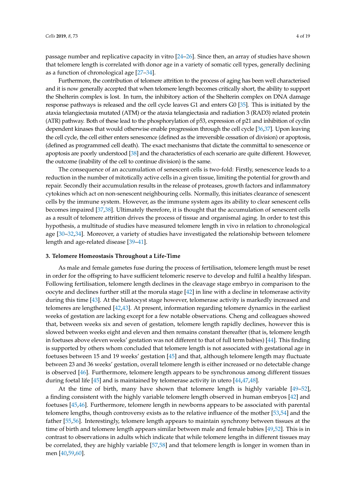passage number and replicative capacity in vitro [\[24](#page-10-19)[–26\]](#page-10-20). Since then, an array of studies have shown that telomere length is correlated with donor age in a variety of somatic cell types, generally declining as a function of chronological age [\[27–](#page-10-21)[34\]](#page-11-0).

Furthermore, the contribution of telomere attrition to the process of aging has been well characterised and it is now generally accepted that when telomere length becomes critically short, the ability to support the Shelterin complex is lost. In turn, the inhibitory action of the Shelterin complex on DNA damage response pathways is released and the cell cycle leaves G1 and enters G0 [\[35\]](#page-11-1). This is initiated by the ataxia telangiectasia mutated (ATM) or the ataxia telangiectasia and radiation 3 (RAD3) related protein (ATR) pathway. Both of these lead to the phosphorylation of p53, expression of p21 and inhibition of cyclin dependent kinases that would otherwise enable progression through the cell cycle [\[36,](#page-11-2)[37\]](#page-11-3). Upon leaving the cell cycle, the cell either enters senescence (defined as the irreversible cessation of division) or apoptosis, (defined as programmed cell death). The exact mechanisms that dictate the committal to senescence or apoptosis are poorly understood [\[38\]](#page-11-4) and the characteristics of each scenario are quite different. However, the outcome (inability of the cell to continue division) is the same.

The consequence of an accumulation of senescent cells is two-fold: Firstly, senescence leads to a reduction in the number of mitotically active cells in a given tissue, limiting the potential for growth and repair. Secondly their accumulation results in the release of proteases, growth factors and inflammatory cytokines which act on non-senescent neighbouring cells. Normally, this initiates clearance of senescent cells by the immune system. However, as the immune system ages its ability to clear senescent cells becomes impaired [\[37,](#page-11-3)[38\]](#page-11-4). Ultimately therefore, it is thought that the accumulation of senescent cells as a result of telomere attrition drives the process of tissue and organismal aging. In order to test this hypothesis, a multitude of studies have measured telomere length in vivo in relation to chronological age [\[30](#page-10-22)[–32](#page-11-5)[,34\]](#page-11-0). Moreover, a variety of studies have investigated the relationship between telomere length and age-related disease [\[39–](#page-11-6)[41\]](#page-11-7).

#### **3. Telomere Homeostasis Throughout a Life-Time**

As male and female gametes fuse during the process of fertilisation, telomere length must be reset in order for the offspring to have sufficient telomeric reserve to develop and fulfil a healthy lifespan. Following fertilisation, telomere length declines in the cleavage stage embryo in comparison to the oocyte and declines further still at the morula stage [\[42\]](#page-11-8) in line with a decline in telomerase activity during this time [\[43\]](#page-11-9). At the blastocyst stage however, telomerase activity is markedly increased and telomeres are lengthened [\[42,](#page-11-8)[43\]](#page-11-9). At present, information regarding telomere dynamics in the earliest weeks of gestation are lacking except for a few notable observations. Cheng and colleagues showed that, between weeks six and seven of gestation, telomere length rapidly declines, however this is slowed between weeks eight and eleven and then remains constant thereafter (that is, telomere length in foetuses above eleven weeks' gestation was not different to that of full term babies) [\[44\]](#page-11-10). This finding is supported by others whom concluded that telomere length is not associated with gestational age in foetuses between 15 and 19 weeks' gestation [\[45\]](#page-11-11) and that, although telomere length may fluctuate between 23 and 36 weeks' gestation, overall telomere length is either increased or no detectable change is observed [\[46\]](#page-11-12). Furthermore, telomere length appears to be synchronous among different tissues during foetal life [\[45\]](#page-11-11) and is maintained by telomerase activity in utero [\[44,](#page-11-10)[47](#page-11-13)[,48\]](#page-11-14).

At the time of birth, many have shown that telomere length is highly variable [\[49](#page-11-15)[–52\]](#page-11-16), a finding consistent with the highly variable telomere length observed in human embryos [\[42\]](#page-11-8) and foetuses [\[45](#page-11-11)[,46\]](#page-11-12). Furthermore, telomere length in newborns appears to be associated with parental telomere lengths, though controversy exists as to the relative influence of the mother [\[53](#page-11-17)[,54\]](#page-12-0) and the father [\[55](#page-12-1)[,56\]](#page-12-2). Interestingly, telomere length appears to maintain synchrony between tissues at the time of birth and telomere length appears similar between male and female babies [\[49,](#page-11-15)[52\]](#page-11-16). This is in contrast to observations in adults which indicate that while telomere lengths in different tissues may be correlated, they are highly variable [\[57,](#page-12-3)[58\]](#page-12-4) and that telomere length is longer in women than in men [\[40,](#page-11-18)[59,](#page-12-5)[60\]](#page-12-6).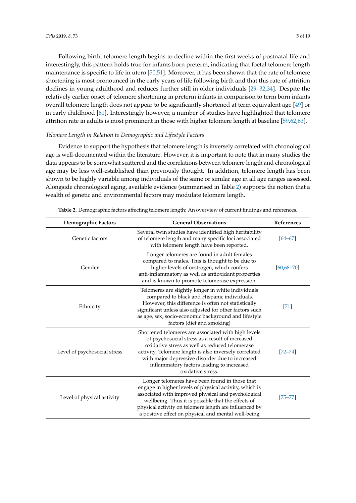<span id="page-5-0"></span>Following birth, telomere length begins to decline within the first weeks of postnatal life and interestingly, this pattern holds true for infants born preterm, indicating that foetal telomere length maintenance is specific to life in utero [\[50,](#page-11-19)[51\]](#page-11-20). Moreover, it has been shown that the rate of telomere shortening is most pronounced in the early years of life following birth and that this rate of attrition declines in young adulthood and reduces further still in older individuals [\[29–](#page-10-23)[32,](#page-11-5)[34\]](#page-11-0). Despite the relatively earlier onset of telomere shortening in preterm infants in comparison to term born infants overall telomere length does not appear to be significantly shortened at term equivalent age [\[49\]](#page-11-15) or in early childhood [\[61\]](#page-12-7). Interestingly however, a number of studies have highlighted that telomere attrition rate in adults is most prominent in those with higher telomere length at baseline [\[59,](#page-12-5)[62](#page-12-8)[,63\]](#page-12-9).

#### *Telomere Length in Relation to Demographic and Lifestyle Factors*

Evidence to support the hypothesis that telomere length is inversely correlated with chronological age is well-documented within the literature. However, it is important to note that in many studies the data appears to be somewhat scattered and the correlations between telomere length and chronological age may be less well-established than previously thought. In addition, telomere length has been shown to be highly variable among individuals of the same or similar age in all age ranges assessed. Alongside chronological aging, available evidence (summarised in Table [2\)](#page-5-0) supports the notion that a wealth of genetic and environmental factors may modulate telomere length.

| <b>Demographic Factors</b>   | <b>General Observations</b>                                                                                                                                                                                                                                                                                                             |                 |
|------------------------------|-----------------------------------------------------------------------------------------------------------------------------------------------------------------------------------------------------------------------------------------------------------------------------------------------------------------------------------------|-----------------|
| Genetic factors              | Several twin studies have identified high heritability<br>of telomere length and many specific loci associated<br>with telomere length have been reported.                                                                                                                                                                              | $[64 - 67]$     |
| Gender                       | Longer telomeres are found in adult females<br>compared to males. This is thought to be due to<br>higher levels of oestrogen, which confers<br>anti-inflammatory as well as antioxidant properties<br>and is known to promote telomerase expression.                                                                                    | $[60, 68 - 70]$ |
| Ethnicity                    | Telomeres are slightly longer in white individuals<br>compared to black and Hispanic individuals.<br>However, this difference is often not statistically<br>significant unless also adjusted for other factors such<br>as age, sex, socio-economic background and lifestyle<br>factors (diet and smoking)                               | [71]            |
| Level of psychosocial stress | Shortened telomeres are associated with high levels<br>of psychosocial stress as a result of increased<br>oxidative stress as well as reduced telomerase<br>activity. Telomere length is also inversely correlated<br>with major depressive disorder due to increased<br>inflammatory factors leading to increased<br>oxidative stress. | $[72 - 74]$     |
| Level of physical activity   | Longer telomeres have been found in those that<br>engage in higher levels of physical activity, which is<br>associated with improved physical and psychological<br>wellbeing. Thus it is possible that the effects of<br>physical activity on telomere length are influenced by<br>a positive effect on physical and mental well-being  | $[75 - 77]$     |

**Table 2.** Demographic factors affecting telomere length: An overview of current findings and references.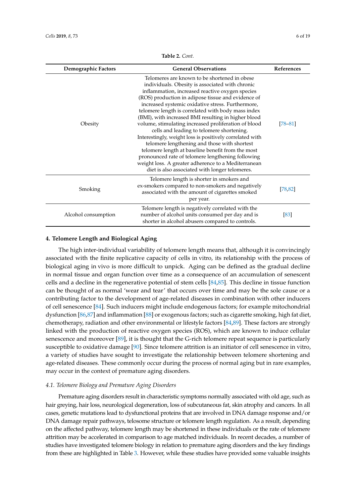| Demographic Factors | <b>General Observations</b>                                                                                                                                                                                                                                                                                                                                                                                                                                                                                                                                                                                                                                                                                                                                                                                    | <b>References</b> |
|---------------------|----------------------------------------------------------------------------------------------------------------------------------------------------------------------------------------------------------------------------------------------------------------------------------------------------------------------------------------------------------------------------------------------------------------------------------------------------------------------------------------------------------------------------------------------------------------------------------------------------------------------------------------------------------------------------------------------------------------------------------------------------------------------------------------------------------------|-------------------|
| Obesity             | Telomeres are known to be shortened in obese<br>individuals. Obesity is associated with chronic<br>inflammation, increased reactive oxygen species<br>(ROS) production in adipose tissue and evidence of<br>increased systemic oxidative stress. Furthermore,<br>telomere length is correlated with body mass index<br>(BMI), with increased BMI resulting in higher blood<br>volume, stimulating increased proliferation of blood<br>cells and leading to telomere shortening.<br>Interestingly, weight loss is positively correlated with<br>telomere lengthening and those with shortest<br>telomere length at baseline benefit from the most<br>pronounced rate of telomere lengthening following<br>weight loss. A greater adherence to a Mediterranean<br>diet is also associated with longer telomeres. | 78-811            |
| Smoking             | Telomere length is shorter in smokers and<br>ex-smokers compared to non-smokers and negatively<br>associated with the amount of cigarettes smoked<br>per year.                                                                                                                                                                                                                                                                                                                                                                                                                                                                                                                                                                                                                                                 | [78, 82]          |
| Alcohol consumption | Telomere length is negatively correlated with the<br>number of alcohol units consumed per day and is<br>shorter in alcohol abusers compared to controls.                                                                                                                                                                                                                                                                                                                                                                                                                                                                                                                                                                                                                                                       | [83]              |

**Table 2.** *Cont.*

#### **4. Telomere Length and Biological Aging**

The high inter-individual variability of telomere length means that, although it is convincingly associated with the finite replicative capacity of cells in vitro, its relationship with the process of biological aging in vivo is more difficult to unpick. Aging can be defined as the gradual decline in normal tissue and organ function over time as a consequence of an accumulation of senescent cells and a decline in the regenerative potential of stem cells [\[84,](#page-13-7)[85\]](#page-13-8). This decline in tissue function can be thought of as normal 'wear and tear' that occurs over time and may be the sole cause or a contributing factor to the development of age-related diseases in combination with other inducers of cell senescence [\[84\]](#page-13-7). Such inducers might include endogenous factors; for example mitochondrial dysfunction [\[86](#page-13-9)[,87\]](#page-13-10) and inflammation [\[88\]](#page-13-11) or exogenous factors; such as cigarette smoking, high fat diet, chemotherapy, radiation and other environmental or lifestyle factors [\[84](#page-13-7)[,89\]](#page-13-12). These factors are strongly linked with the production of reactive oxygen species (ROS), which are known to induce cellular senescence and moreover [\[89\]](#page-13-12), it is thought that the G-rich telomere repeat sequence is particularly susceptible to oxidative damage [\[90\]](#page-13-13). Since telomere attrition is an initiator of cell senescence in vitro, a variety of studies have sought to investigate the relationship between telomere shortening and age-related diseases. These commonly occur during the process of normal aging but in rare examples, may occur in the context of premature aging disorders.

#### *4.1. Telomere Biology and Premature Aging Disorders*

Premature aging disorders result in characteristic symptoms normally associated with old age, such as hair greying, hair loss, neurological degeneration, loss of subcutaneous fat, skin atrophy and cancers. In all cases, genetic mutations lead to dysfunctional proteins that are involved in DNA damage response and/or DNA damage repair pathways, telosome structure or telomere length regulation. As a result, depending on the affected pathway, telomere length may be shortened in these individuals or the rate of telomere attrition may be accelerated in comparison to age matched individuals. In recent decades, a number of studies have investigated telomere biology in relation to premature aging disorders and the key findings from these are highlighted in Table [3.](#page-7-0) However, while these studies have provided some valuable insights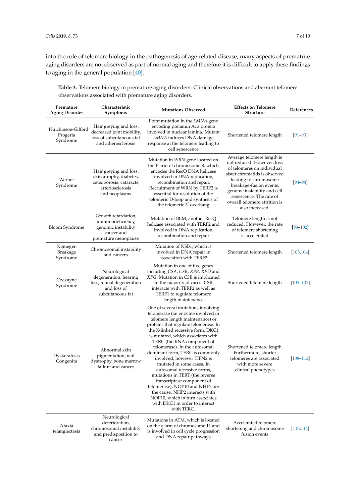<span id="page-7-0"></span>into the role of telomere biology in the pathogenesis of age-related disease, many aspects of premature aging disorders are not observed as part of normal aging and therefore it is difficult to apply these findings to aging in the general population [\[40\]](#page-11-18).

**Table 3.** Telomere biology in premature aging disorders: Clinical observations and aberrant telomere observations associated with premature aging disorders.

| Premature<br><b>Aging Disorder</b>         | Characteristic<br>Symptoms                                                                                         | <b>Mutations Observed</b>                                                                                                                                                                                                                                                                                                                                                                                                                                                                                                                                                                                                                        | <b>Effects on Telomere</b><br><b>Structure</b>                                                                                                                                                                                                                                            | References    |
|--------------------------------------------|--------------------------------------------------------------------------------------------------------------------|--------------------------------------------------------------------------------------------------------------------------------------------------------------------------------------------------------------------------------------------------------------------------------------------------------------------------------------------------------------------------------------------------------------------------------------------------------------------------------------------------------------------------------------------------------------------------------------------------------------------------------------------------|-------------------------------------------------------------------------------------------------------------------------------------------------------------------------------------------------------------------------------------------------------------------------------------------|---------------|
| Hutchinson-Gilford<br>Progeria<br>Syndrome | Hair greying and loss,<br>decreased joint mobility,<br>loss of subcutaneous fat<br>and atherosclerosis             | Point mutation in the LMNA gene<br>encoding prelamin A; a protein<br>involved in nuclear lamina. Mutant<br>LMNA induces DNA damage<br>response at the telomere leading to<br>cell senescence                                                                                                                                                                                                                                                                                                                                                                                                                                                     | Shortened telomere length                                                                                                                                                                                                                                                                 | $[91 - 93]$   |
| Werner<br>Syndrome                         | Hair greying and loss,<br>skin atrophy, diabetes,<br>osteoporosis, cataracts,<br>arteriosclerosis<br>and neoplasms | Mutation in WRN gene located on<br>the P arm of chromosome 8, which<br>encodes the RecQ DNA helicase<br>involved in DNA replication,<br>recombination and repair.<br>Recruitment of WRN by TERF2 is<br>essential for resolution of the<br>telomeric D-loop and synthesis of<br>the telomeric 3' overhang                                                                                                                                                                                                                                                                                                                                         | Average telomere length is<br>not reduced. However, loss<br>of telomeres on individual<br>sister chromatids is observed<br>leading to chromosome<br>breakage-fusion events,<br>genome instability and cell<br>senescence. The rate of<br>overall telomere attrition is<br>also increased. | $[94 - 98]$   |
| <b>Bloom Syndrome</b>                      | Growth retardation,<br>immunodeficiency,<br>genomic instability<br>cancer and<br>premature menopause               | Mutation of BLM; another RecQ<br>helicase associated with TERF2 and<br>involved in DNA replication,<br>recombination and repair                                                                                                                                                                                                                                                                                                                                                                                                                                                                                                                  | Telomere length is not<br>reduced. However, the rate<br>of telomere shortening<br>is accelerated                                                                                                                                                                                          | $[99 - 102]$  |
| Nijmegen<br><b>Breakage</b><br>Syndrome    | Chromosomal instability<br>and cancers                                                                             | Mutation of NSB1, which is<br>involved in DNA repair in<br>association with TERF2                                                                                                                                                                                                                                                                                                                                                                                                                                                                                                                                                                | Shortened telomere length                                                                                                                                                                                                                                                                 | [103, 104]    |
| Cockayne<br>Syndrome                       | Neurological<br>degeneration, hearing<br>loss, retinal degeneration<br>and loss of<br>subcutaneous fat             | Mutation in one of five genes<br>including CSA, CSB, XPB, XPD and<br>XPG. Mutation in CSB is implicated<br>in the majority of cases. CSB<br>interacts with TERF2 as well as<br>TERF1 to regulate telomere<br>length maintenance                                                                                                                                                                                                                                                                                                                                                                                                                  | Shortened telomere length                                                                                                                                                                                                                                                                 | $[105 - 107]$ |
| Dyskeratosis<br>Congenita                  | Abnormal skin<br>pigmentation, nail<br>dystrophy, bone marrow<br>failure and cancer                                | One of several mutations involving<br>telomerase (an enzyme involved in<br>telomere length maintenance) or<br>proteins that regulate telomerase. In<br>the X-linked recessive form, DKC1<br>is mutated, which associates with<br>TERC (the RNA component of<br>telomerase). In the autosomal<br>dominant form, TERC is commonly<br>involved; however TIFN2 is<br>mutated in some cases. In<br>autosomal recessive forms,<br>mutations in TERT (the reverse<br>transcriptase component of<br>telomerase), NOP10 and NHP2 are<br>the cause. NHP2 interacts with<br>NOP10, which in turn associates<br>with DKC1 in order to interact<br>with TERC. | Shortened telomere length.<br>Furthermore, shorter<br>telomeres are associated<br>with more severe<br>clinical phenotypes                                                                                                                                                                 | $[108 - 112]$ |
| Ataxia<br>telangiectasia                   | Neurological<br>deterioration,<br>chromosomal instability<br>and predisposition to<br>cancer                       | Mutations in ATM, which is located<br>on the q arm of chromosome 11 and<br>is involved in cell cycle progression<br>and DNA repair pathways                                                                                                                                                                                                                                                                                                                                                                                                                                                                                                      | Accelerated telomere<br>shortening and chromosome<br>fusion events                                                                                                                                                                                                                        | [113, 114]    |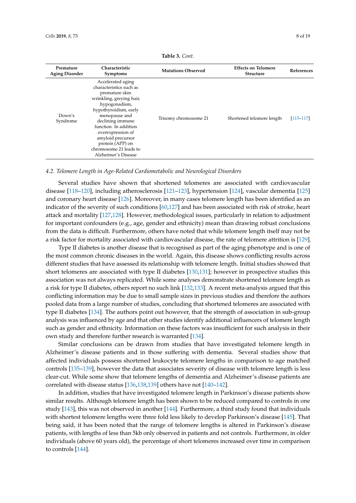|  | 8 of |
|--|------|
|  |      |

| Premature<br><b>Aging Disorder</b> | Characteristic<br><b>Symptoms</b>                                                                                                                                                                                                                                                                                 | <b>Mutations Observed</b> | <b>Effects on Telomere</b><br><b>Structure</b> | <b>References</b> |
|------------------------------------|-------------------------------------------------------------------------------------------------------------------------------------------------------------------------------------------------------------------------------------------------------------------------------------------------------------------|---------------------------|------------------------------------------------|-------------------|
| Down's<br>Syndrome                 | Accelerated aging<br>characteristics such as<br>premature skin<br>wrinkling, greying hair,<br>hypogonadism,<br>hypothyroidism, early<br>menopause and<br>declining immune<br>function. In addition<br>overexpression of<br>amyloid precursor<br>protein (APP) on<br>chromosome 21 leads to<br>Alzheimer's Disease | Trisomy chromosome 21     | Shortened telomere length                      | $[115 - 117]$     |

**Table 3.** *Cont.*

#### *4.2. Telomere Length in Age-Related Cardiometabolic and Neurological Disorders*

Several studies have shown that shortened telomeres are associated with cardiovascular disease [\[118](#page-15-1)[–120\]](#page-15-2), including atherosclerosis [\[121–](#page-15-3)[123\]](#page-15-4), hypertension [\[124\]](#page-15-5), vascular dementia [\[125\]](#page-15-6) and coronary heart disease [\[126\]](#page-15-7). Moreover, in many cases telomere length has been identified as an indicator of the severity of such conditions [\[60](#page-12-6)[,127\]](#page-15-8) and has been associated with risk of stroke, heart attack and mortality [\[127,](#page-15-8)[128\]](#page-15-9). However, methodological issues, particularly in relation to adjustment for important confounders (e.g., age, gender and ethnicity) mean than drawing robust conclusions from the data is difficult. Furthermore, others have noted that while telomere length itself may not be a risk factor for mortality associated with cardiovascular disease, the rate of telomere attrition is [\[129\]](#page-15-10).

Type II diabetes is another disease that is recognised as part of the aging phenotype and is one of the most common chronic diseases in the world. Again, this disease shows conflicting results across different studies that have assessed its relationship with telomere length. Initial studies showed that short telomeres are associated with type II diabetes [\[130,](#page-15-11)[131\]](#page-15-12); however in prospective studies this association was not always replicated. While some analyses demonstrate shortened telomere length as a risk for type II diabetes, others report no such link [\[132](#page-15-13)[,133\]](#page-15-14). A recent meta-analysis argued that this conflicting information may be due to small sample sizes in previous studies and therefore the authors pooled data from a large number of studies, concluding that shortened telomeres are associated with type II diabetes [\[134\]](#page-15-15). The authors point out however, that the strength of association in sub-group analysis was influenced by age and that other studies identify additional influencers of telomere length such as gender and ethnicity. Information on these factors was insufficient for such analysis in their own study and therefore further research is warranted [\[134\]](#page-15-15).

Similar conclusions can be drawn from studies that have investigated telomere length in Alzheimer's disease patients and in those suffering with dementia. Several studies show that affected individuals possess shortened leukocyte telomere lengths in comparison to age matched controls [\[135](#page-15-16)[–139\]](#page-16-0), however the data that associates severity of disease with telomere length is less clear-cut. While some show that telomere lengths of dementia and Alzheimer's disease patients are correlated with disease status [\[136,](#page-16-1)[138,](#page-16-2)[139\]](#page-16-0) others have not [\[140–](#page-16-3)[142\]](#page-16-4).

In addition, studies that have investigated telomere length in Parkinson's disease patients show similar results. Although telomere length has been shown to be reduced compared to controls in one study [\[143\]](#page-16-5), this was not observed in another [\[144\]](#page-16-6). Furthermore, a third study found that individuals with shortest telomere lengths were three fold less likely to develop Parkinson's disease [\[145\]](#page-16-7). That being said, it has been noted that the range of telomere lengths is altered in Parkinson's disease patients, with lengths of less than 5kb only observed in patients and not controls. Furthermore, in older individuals (above 60 years old), the percentage of short telomeres increased over time in comparison to controls [\[144\]](#page-16-6).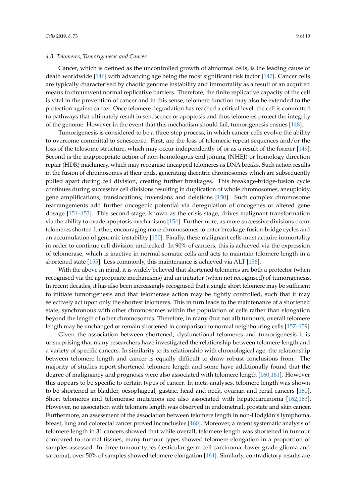#### *4.3. Telomeres, Tumorigenesis and Cancer*

Cancer, which is defined as the uncontrolled growth of abnormal cells, is the leading cause of death worldwide [\[146\]](#page-16-8) with advancing age being the most significant risk factor [\[147\]](#page-16-9). Cancer cells are typically characterised by chaotic genome instability and immortality as a result of an acquired means to circumvent normal replicative barriers. Therefore, the finite replicative capacity of the cell is vital in the prevention of cancer and in this sense, telomere function may also be extended to the protection against cancer. Once telomere degradation has reached a critical level, the cell is committed to pathways that ultimately result in senescence or apoptosis and thus telomeres protect the integrity of the genome. However in the event that this mechanism should fail, tumorigenesis ensues [\[148\]](#page-16-10).

Tumorigenesis is considered to be a three-step process, in which cancer cells evolve the ability to overcome committal to senescence. First, are the loss of telomeric repeat sequences and/or the loss of the telosome structure, which may occur independently of or as a result of the former [\[149\]](#page-16-11). Second is the inappropriate action of non-homologous end joining (NHEJ) or homology direction repair (HDR) machinery, which may recognise uncapped telomeres as DNA breaks. Such action results in the fusion of chromosomes at their ends, generating dicentric chromosomes which are subsequently pulled apart during cell division, creating further breakages. This breakage-bridge-fusion cycle continues during successive cell divisions resulting in duplication of whole chromosomes, aneuploidy, gene amplifications, translocations, inversions and deletions [\[150\]](#page-16-12). Such complex chromosome rearrangements add further oncogenic potential via deregulation of oncogenes or altered gene dosage [\[151](#page-16-13)[–153\]](#page-16-14). This second stage, known as the crisis stage, drives malignant transformation via the ability to evade apoptosis mechanisms [\[154\]](#page-16-15). Furthermore, as more successive divisions occur, telomeres shorten further, encouraging more chromosomes to enter breakage-fusion-bridge cycles and an accumulation of genomic instability [\[150\]](#page-16-12). Finally, these malignant cells must acquire immortality in order to continue cell division unchecked. In 90% of cancers, this is achieved via the expression of telomerase, which is inactive in normal somatic cells and acts to maintain telomere length in a shortened state [\[155\]](#page-16-16). Less commonly, this maintenance is achieved via ALT [\[156\]](#page-16-17).

With the above in mind, it is widely believed that shortened telomeres are both a protector (when recognised via the appropriate mechanisms) and an initiator (when not recognised) of tumorigenesis. In recent decades, it has also been increasingly recognised that a single short telomere may be sufficient to initiate tumorigenesis and that telomerase action may be tightly controlled, such that it may selectively act upon only the shortest telomeres. This in turn leads to the maintenance of a shortened state, synchronous with other chromosomes within the population of cells rather than elongation beyond the length of other chromosomes. Therefore, in many (but not all) tumours, overall telomere length may be unchanged or remain shortened in comparison to normal neighbouring cells [\[157–](#page-17-0)[159\]](#page-17-1).

<span id="page-9-2"></span><span id="page-9-1"></span><span id="page-9-0"></span>Given the association between shortened, dysfunctional telomeres and tumorigenesis it is unsurprising that many researchers have investigated the relationship between telomere length and a variety of specific cancers. In similarity to its relationship with chronological age, the relationship between telomere length and cancer is equally difficult to draw robust conclusions from. The majority of studies report shortened telomere length and some have additionally found that the degree of malignancy and prognosis were also associated with telomere length [\[160](#page-17-2)[,161\]](#page-17-3). However this appears to be specific to certain types of cancer. In meta-analyses, telomere length was shown to be shortened in bladder, oesophageal, gastric, head and neck, ovarian and renal cancers [\[160\]](#page-17-2). Short telomeres and telomerase mutations are also associated with hepatocarcinoma [\[162,](#page-17-4)[163\]](#page-17-5). However, no association with telomere length was observed in endometrial, prostate and skin cancer. Furthermore, an assessment of the association between telomere length in non-Hodgkin's lymphoma, breast, lung and colorectal cancer proved inconclusive [\[160\]](#page-17-2). Moreover, a recent systematic analysis of telomere length in 31 cancers showed that while overall, telomere length was shortened in tumour compared to normal tissues, many tumour types showed telomere elongation in a proportion of samples assessed. In three tumour types (testicular germ cell carcinoma, lower grade glioma and sarcoma), over 50% of samples showed telomere elongation [\[164\]](#page-17-6). Similarly, contradictory results are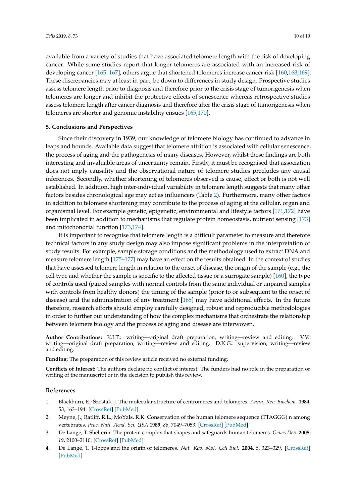<span id="page-10-1"></span><span id="page-10-0"></span>available from a variety of studies that have associated telomere length with the risk of developing cancer. While some studies report that longer telomeres are associated with an increased risk of developing cancer [\[165–](#page-17-7)[167\]](#page-17-8), others argue that shortened telomeres increase cancer risk [\[160](#page-17-2)[,168](#page-17-9)[,169\]](#page-17-10). These discrepancies may at least in part, be down to differences in study design. Prospective studies assess telomere length prior to diagnosis and therefore prior to the crisis stage of tumorigenesis when telomeres are longer and inhibit the protective effects of senescence whereas retrospective studies assess telomere length after cancer diagnosis and therefore after the crisis stage of tumorigenesis when telomeres are shorter and genomic instability ensues [\[165,](#page-17-7)[170\]](#page-17-11).

#### <span id="page-10-4"></span><span id="page-10-3"></span><span id="page-10-2"></span>**5. Conclusions and Perspectives**

<span id="page-10-8"></span><span id="page-10-7"></span><span id="page-10-6"></span><span id="page-10-5"></span>Since their discovery in 1939, our knowledge of telomere biology has continued to advance in leaps and bounds. Available data suggest that telomere attrition is associated with cellular senescence, the process of aging and the pathogenesis of many diseases. However, whilst these findings are both interesting and invaluable areas of uncertainty remain. Firstly, it must be recognised that association does not imply causality and the observational nature of telomere studies precludes any causal inferences. Secondly, whether shortening of telomeres observed is cause, effect or both is not well established. In addition, high inter-individual variability in telomere length suggests that many other factors besides chronological age may act as influencers (Table [2\)](#page-5-0). Furthermore, many other factors in addition to telomere shortening may contribute to the process of aging at the cellular, organ and organismal level. For example genetic, epigenetic, environmental and lifestyle factors [\[171,](#page-17-12)[172\]](#page-17-13) have been implicated in addition to mechanisms that regulate protein homeostasis, nutrient sensing [\[173\]](#page-17-14) and mitochondrial function [\[173,](#page-17-14)[174\]](#page-17-15).

<span id="page-10-15"></span><span id="page-10-14"></span><span id="page-10-13"></span><span id="page-10-12"></span><span id="page-10-11"></span><span id="page-10-10"></span><span id="page-10-9"></span>It is important to recognise that telomere length is a difficult parameter to measure and therefore technical factors in any study design may also impose significant problems in the interpretation of study results. For example, sample storage conditions and the methodology used to extract DNA and measure telomere length [\[175–](#page-18-0)[177\]](#page-18-1) may have an effect on the results obtained. In the context of studies that have assessed telomere length in relation to the onset of disease, the origin of the sample (e.g., the cell type and whether the sample is specific to the affected tissue or a surrogate sample) [\[160\]](#page-17-2), the type of controls used (paired samples with normal controls from the same individual or unpaired samples with controls from healthy donors) the timing of the sample (prior to or subsequent to the onset of disease) and the administration of any treatment [\[165\]](#page-17-7) may have additional effects. In the future therefore, research efforts should employ carefully designed, robust and reproducible methodologies in order to further our understanding of how the complex mechanisms that orchestrate the relationship between telomere biology and the process of aging and disease are interwoven.

<span id="page-10-19"></span><span id="page-10-18"></span><span id="page-10-17"></span><span id="page-10-16"></span>**Author Contributions:** K.J.T.: writing—original draft preparation, writing—review and editing. V.V.: writing—original draft preparation, writing—review and editing. D.K.G.: supervision, writing—review and editing.

**Funding:** The preparation of this review article received no external funding.

<span id="page-10-20"></span>**Conflicts of Interest:** The authors declare no conflict of interest. The funders had no role in the preparation or writing of the manuscript or in the decision to publish this review.

#### <span id="page-10-21"></span>**References**

- 1. Blackburn, E.; Szostak, J. The molecular structure of centromeres and telomeres. *Annu. Rev. Biochem.* **1984**, *53*, 163–194. [\[CrossRef\]](http://dx.doi.org/10.1146/annurev.bi.53.070184.001115) [\[PubMed\]](http://www.ncbi.nlm.nih.gov/pubmed/6383193)
- <span id="page-10-23"></span>2. Meyne, J.; Ratliff, R.L.; MoYzIs, R.K. Conservation of the human telomere sequence (TTAGGG) n among vertebrates. *Proc. Natl. Acad. Sci. USA* **1989**, *86*, 7049–7053. [\[CrossRef\]](http://dx.doi.org/10.1073/pnas.86.18.7049) [\[PubMed\]](http://www.ncbi.nlm.nih.gov/pubmed/2780561)
- <span id="page-10-22"></span>3. De Lange, T. Shelterin: The protein complex that shapes and safeguards human telomeres. *Genes Dev.* **2005**, *19*, 2100–2110. [\[CrossRef\]](http://dx.doi.org/10.1101/gad.1346005) [\[PubMed\]](http://www.ncbi.nlm.nih.gov/pubmed/16166375)
- 4. De Lange, T. T-loops and the origin of telomeres. *Nat. Rev. Mol. Cell Biol.* **2004**, *5*, 323–329. [\[CrossRef\]](http://dx.doi.org/10.1038/nrm1359) [\[PubMed\]](http://www.ncbi.nlm.nih.gov/pubmed/15071557)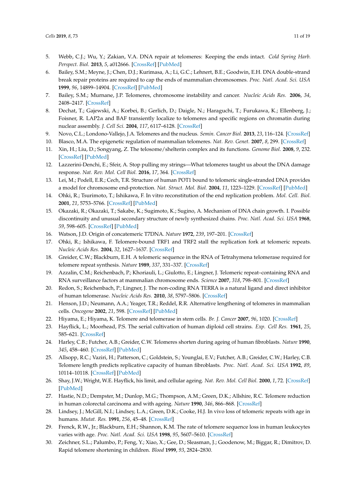- 5. Webb, C.J.; Wu, Y.; Zakian, V.A. DNA repair at telomeres: Keeping the ends intact. *Cold Spring Harb. Perspect. Biol.* **2013**, *5*, a012666. [\[CrossRef\]](http://dx.doi.org/10.1101/cshperspect.a012666) [\[PubMed\]](http://www.ncbi.nlm.nih.gov/pubmed/23732473)
- 6. Bailey, S.M.; Meyne, J.; Chen, D.J.; Kurimasa, A.; Li, G.C.; Lehnert, B.E.; Goodwin, E.H. DNA double-strand break repair proteins are required to cap the ends of mammalian chromosomes. *Proc. Natl. Acad. Sci. USA* **1999**, *96*, 14899–14904. [\[CrossRef\]](http://dx.doi.org/10.1073/pnas.96.26.14899) [\[PubMed\]](http://www.ncbi.nlm.nih.gov/pubmed/10611310)
- <span id="page-11-5"></span>7. Bailey, S.M.; Murnane, J.P. Telomeres, chromosome instability and cancer. *Nucleic Acids Res.* **2006**, *34*, 2408–2417. [\[CrossRef\]](http://dx.doi.org/10.1093/nar/gkl303)
- 8. Dechat, T.; Gajewski, A.; Korbei, B.; Gerlich, D.; Daigle, N.; Haraguchi, T.; Furukawa, K.; Ellenberg, J.; Foisner, R. LAP2α and BAF transiently localize to telomeres and specific regions on chromatin during nuclear assembly. *J. Cell Sci.* **2004**, *117*, 6117–6128. [\[CrossRef\]](http://dx.doi.org/10.1242/jcs.01529)
- <span id="page-11-0"></span>9. Novo, C.L.; Londono-Vallejo, J.A. Telomeres and the nucleus. *Semin. Cancer Biol.* **2013**, *23*, 116–124. [\[CrossRef\]](http://dx.doi.org/10.1016/j.semcancer.2012.02.001)
- <span id="page-11-1"></span>10. Blasco, M.A. The epigenetic regulation of mammalian telomeres. *Nat. Rev. Genet.* **2007**, *8*, 299. [\[CrossRef\]](http://dx.doi.org/10.1038/nrg2047)
- <span id="page-11-2"></span>11. Xin, H.; Liu, D.; Songyang, Z. The telosome/shelterin complex and its functions. *Genome Biol.* **2008**, *9*, 232. [\[CrossRef\]](http://dx.doi.org/10.1186/gb-2008-9-9-232) [\[PubMed\]](http://www.ncbi.nlm.nih.gov/pubmed/18828880)
- <span id="page-11-3"></span>12. Lazzerini-Denchi, E.; Sfeir, A. Stop pulling my strings—What telomeres taught us about the DNA damage response. *Nat. Rev. Mol. Cell Biol.* **2016**, *17*, 364. [\[CrossRef\]](http://dx.doi.org/10.1038/nrm.2016.43)
- <span id="page-11-4"></span>13. Lei, M.; Podell, E.R.; Cech, T.R. Structure of human POT1 bound to telomeric single-stranded DNA provides a model for chromosome end-protection. *Nat. Struct. Mol. Biol.* **2004**, *11*, 1223–1229. [\[CrossRef\]](http://dx.doi.org/10.1038/nsmb867) [\[PubMed\]](http://www.ncbi.nlm.nih.gov/pubmed/15558049)
- <span id="page-11-6"></span>14. Ohki, R.; Tsurimoto, T.; Ishikawa, F. In vitro reconstitution of the end replication problem. *Mol. Cell. Biol.* **2001**, *21*, 5753–5766. [\[CrossRef\]](http://dx.doi.org/10.1128/MCB.21.17.5753-5766.2001) [\[PubMed\]](http://www.ncbi.nlm.nih.gov/pubmed/11486015)
- <span id="page-11-18"></span>15. Okazaki, R.; Okazaki, T.; Sakabe, K.; Sugimoto, K.; Sugino, A. Mechanism of DNA chain growth. I. Possible discontinuity and unusual secondary structure of newly synthesized chains. *Proc. Natl. Acad. Sci. USA* **1968**, *59*, 598–605. [\[CrossRef\]](http://dx.doi.org/10.1073/pnas.59.2.598) [\[PubMed\]](http://www.ncbi.nlm.nih.gov/pubmed/4967086)
- <span id="page-11-7"></span>16. Watson, J.D. Origin of concatemeric T7DNA. *Nature* **1972**, *239*, 197–201. [\[CrossRef\]](http://dx.doi.org/10.1038/newbio239197a0)
- <span id="page-11-8"></span>17. Ohki, R.; Ishikawa, F. Telomere-bound TRF1 and TRF2 stall the replication fork at telomeric repeats. *Nucleic Acids Res.* **2004**, *32*, 1627–1637. [\[CrossRef\]](http://dx.doi.org/10.1093/nar/gkh309)
- <span id="page-11-9"></span>18. Greider, C.W.; Blackburn, E.H. A telomeric sequence in the RNA of Tetrahymena telomerase required for telomere repeat synthesis. *Nature* **1989**, *337*, 331–337. [\[CrossRef\]](http://dx.doi.org/10.1038/337331a0)
- 19. Azzalin, C.M.; Reichenbach, P.; Khoriauli, L.; Giulotto, E.; Lingner, J. Telomeric repeat–containing RNA and RNA surveillance factors at mammalian chromosome ends. *Science* **2007**, *318*, 798–801. [\[CrossRef\]](http://dx.doi.org/10.1126/science.1147182)
- <span id="page-11-10"></span>20. Redon, S.; Reichenbach, P.; Lingner, J. The non-coding RNA TERRA is a natural ligand and direct inhibitor of human telomerase. *Nucleic Acids Res.* **2010**, *38*, 5797–5806. [\[CrossRef\]](http://dx.doi.org/10.1093/nar/gkq296)
- <span id="page-11-11"></span>21. Henson, J.D.; Neumann, A.A.; Yeager, T.R.; Reddel, R.R. Alternative lengthening of telomeres in mammalian cells. *Oncogene* **2002**, *21*, 598. [\[CrossRef\]](http://dx.doi.org/10.1038/sj.onc.1205058) [\[PubMed\]](http://www.ncbi.nlm.nih.gov/pubmed/11850785)
- 22. Hiyama, E.; Hiyama, K. Telomere and telomerase in stem cells. *Br. J. Cancer* **2007**, *96*, 1020. [\[CrossRef\]](http://dx.doi.org/10.1038/sj.bjc.6603671)
- <span id="page-11-12"></span>23. Hayflick, L.; Moorhead, P.S. The serial cultivation of human diploid cell strains. *Exp. Cell Res.* **1961**, *25*, 585–621. [\[CrossRef\]](http://dx.doi.org/10.1016/0014-4827(61)90192-6)
- <span id="page-11-13"></span>24. Harley, C.B.; Futcher, A.B.; Greider, C.W. Telomeres shorten during ageing of human fibroblasts. *Nature* **1990**, *345*, 458–460. [\[CrossRef\]](http://dx.doi.org/10.1038/345458a0) [\[PubMed\]](http://www.ncbi.nlm.nih.gov/pubmed/2342578)
- <span id="page-11-14"></span>25. Allsopp, R.C.; Vaziri, H.; Patterson, C.; Goldstein, S.; Younglai, E.V.; Futcher, A.B.; Greider, C.W.; Harley, C.B. Telomere length predicts replicative capacity of human fibroblasts. *Proc. Natl. Acad. Sci. USA* **1992**, *89*, 10114–10118. [\[CrossRef\]](http://dx.doi.org/10.1073/pnas.89.21.10114) [\[PubMed\]](http://www.ncbi.nlm.nih.gov/pubmed/1438199)
- <span id="page-11-15"></span>26. Shay, J.W.; Wright, W.E. Hayflick, his limit, and cellular ageing. *Nat. Rev. Mol. Cell Biol.* **2000**, *1*, 72. [\[CrossRef\]](http://dx.doi.org/10.1038/35036093) [\[PubMed\]](http://www.ncbi.nlm.nih.gov/pubmed/11413492)
- <span id="page-11-19"></span>27. Hastie, N.D.; Dempster, M.; Dunlop, M.G.; Thompson, A.M.; Green, D.K.; Allshire, R.C. Telomere reduction in human colorectal carcinoma and with ageing. *Nature* **1990**, *346*, 866–868. [\[CrossRef\]](http://dx.doi.org/10.1038/346866a0)
- <span id="page-11-20"></span>28. Lindsey, J.; McGill, N.I.; Lindsey, L.A.; Green, D.K.; Cooke, H.J. In vivo loss of telomeric repeats with age in humans. *Mutat. Res.* **1991**, *256*, 45–48. [\[CrossRef\]](http://dx.doi.org/10.1016/0921-8734(91)90032-7)
- <span id="page-11-16"></span>29. Frenck, R.W., Jr.; Blackburn, E.H.; Shannon, K.M. The rate of telomere sequence loss in human leukocytes varies with age. *Proc. Natl. Acad. Sci. USA* **1998**, *95*, 5607–5610. [\[CrossRef\]](http://dx.doi.org/10.1073/pnas.95.10.5607)
- <span id="page-11-17"></span>30. Zeichner, S.L.; Palumbo, P.; Feng, Y.; Xiao, X.; Gee, D.; Sleasman, J.; Goodenow, M.; Biggar, R.; Dimitrov, D. Rapid telomere shortening in children. *Blood* **1999**, *93*, 2824–2830.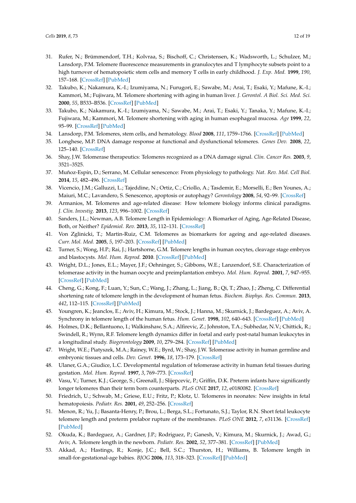- <span id="page-12-0"></span>31. Rufer, N.; Brümmendorf, T.H.; Kolvraa, S.; Bischoff, C.; Christensen, K.; Wadsworth, L.; Schulzer, M.; Lansdorp, P.M. Telomere fluorescence measurements in granulocytes and T lymphocyte subsets point to a high turnover of hematopoietic stem cells and memory T cells in early childhood. *J. Exp. Med.* **1999**, *190*, 157–168. [\[CrossRef\]](http://dx.doi.org/10.1084/jem.190.2.157) [\[PubMed\]](http://www.ncbi.nlm.nih.gov/pubmed/10432279)
- <span id="page-12-1"></span>32. Takubo, K.; Nakamura, K.-I.; Izumiyama, N.; Furugori, E.; Sawabe, M.; Arai, T.; Esaki, Y.; Mafune, K.-I.; Kammori, M.; Fujiwara, M. Telomere shortening with aging in human liver. *J. Gerontol. A Biol. Sci. Med. Sci.* **2000**, *55*, B533–B536. [\[CrossRef\]](http://dx.doi.org/10.1093/gerona/55.11.B533) [\[PubMed\]](http://www.ncbi.nlm.nih.gov/pubmed/11078086)
- <span id="page-12-3"></span><span id="page-12-2"></span>33. Takubo, K.; Nakamura, K.-I.; Izumiyama, N.; Sawabe, M.; Arai, T.; Esaki, Y.; Tanaka, Y.; Mafune, K.-I.; Fujiwara, M.; Kammori, M. Telomere shortening with aging in human esophageal mucosa. *Age* **1999**, *22*, 95–99. [\[CrossRef\]](http://dx.doi.org/10.1007/s11357-999-0011-6) [\[PubMed\]](http://www.ncbi.nlm.nih.gov/pubmed/23604406)
- <span id="page-12-4"></span>34. Lansdorp, P.M. Telomeres, stem cells, and hematology. *Blood* **2008**, *111*, 1759–1766. [\[CrossRef\]](http://dx.doi.org/10.1182/blood-2007-09-084913) [\[PubMed\]](http://www.ncbi.nlm.nih.gov/pubmed/18263784)
- <span id="page-12-5"></span>35. Longhese, M.P. DNA damage response at functional and dysfunctional telomeres. *Genes Dev.* **2008**, *22*, 125–140. [\[CrossRef\]](http://dx.doi.org/10.1101/gad.1626908)
- <span id="page-12-6"></span>36. Shay, J.W. Telomerase therapeutics: Telomeres recognized as a DNA damage signal. *Clin. Cancer Res.* **2003**, *9*, 3521–3525.
- 37. Muñoz-Espín, D.; Serrano, M. Cellular senescence: From physiology to pathology. *Nat. Rev. Mol. Cell Biol.* **2014**, *15*, 482–496. [\[CrossRef\]](http://dx.doi.org/10.1038/nrm3823)
- <span id="page-12-7"></span>38. Vicencio, J.M.; Galluzzi, L.; Tajeddine, N.; Ortiz, C.; Criollo, A.; Tasdemir, E.; Morselli, E.; Ben Younes, A.; Maiuri, M.C.; Lavandero, S. Senescence, apoptosis or autophagy? *Gerontology* **2008**, *54*, 92–99. [\[CrossRef\]](http://dx.doi.org/10.1159/000129697)
- 39. Armanios, M. Telomeres and age-related disease: How telomere biology informs clinical paradigms. *J. Clin. Investig.* **2013**, *123*, 996–1002. [\[CrossRef\]](http://dx.doi.org/10.1172/JCI66370)
- <span id="page-12-8"></span>40. Sanders, J.L.; Newman, A.B. Telomere Length in Epidemiology: A Biomarker of Aging, Age-Related Disease, Both, or Neither? *Epidemiol. Rev.* **2013**, *35*, 112–131. [\[CrossRef\]](http://dx.doi.org/10.1093/epirev/mxs008)
- <span id="page-12-9"></span>41. Von Zglinicki, T.; Martin-Ruiz, C.M. Telomeres as biomarkers for ageing and age-related diseases. *Curr. Mol. Med.* **2005**, *5*, 197–203. [\[CrossRef\]](http://dx.doi.org/10.2174/1566524053586545) [\[PubMed\]](http://www.ncbi.nlm.nih.gov/pubmed/15974873)
- 42. Turner, S.; Wong, H.P.; Rai, J.; Hartshorne, G.M. Telomere lengths in human oocytes, cleavage stage embryos and blastocysts. *Mol. Hum. Reprod.* **2010**. [\[CrossRef\]](http://dx.doi.org/10.1093/molehr/gaq048) [\[PubMed\]](http://www.ncbi.nlm.nih.gov/pubmed/20573647)
- <span id="page-12-10"></span>43. Wright, D.L.; Jones, E.L.; Mayer, J.F.; Oehninger, S.; Gibbons, W.E.; Lanzendorf, S.E. Characterization of telomerase activity in the human oocyte and preimplantation embryo. *Mol. Hum. Reprod.* **2001**, *7*, 947–955. [\[CrossRef\]](http://dx.doi.org/10.1093/molehr/7.10.947) [\[PubMed\]](http://www.ncbi.nlm.nih.gov/pubmed/11574663)
- 44. Cheng, G.; Kong, F.; Luan, Y.; Sun, C.; Wang, J.; Zhang, L.; Jiang, B.; Qi, T.; Zhao, J.; Zheng, C. Differential shortening rate of telomere length in the development of human fetus. *Biochem. Biophys. Res. Commun.* **2013**, *442*, 112–115. [\[CrossRef\]](http://dx.doi.org/10.1016/j.bbrc.2013.11.022) [\[PubMed\]](http://www.ncbi.nlm.nih.gov/pubmed/24246679)
- 45. Youngren, K.; Jeanclos, E.; Aviv, H.; Kimura, M.; Stock, J.; Hanna, M.; Skurnick, J.; Bardeguez, A.; Aviv, A. Synchrony in telomere length of the human fetus. *Hum. Genet.* **1998**, *102*, 640–643. [\[CrossRef\]](http://dx.doi.org/10.1007/s004390050755) [\[PubMed\]](http://www.ncbi.nlm.nih.gov/pubmed/9703424)
- <span id="page-12-11"></span>46. Holmes, D.K.; Bellantuono, I.; Walkinshaw, S.A.; Alfirevic, Z.; Johnston, T.A.; Subhedar, N.V.; Chittick, R.; Swindell, R.; Wynn, R.F. Telomere length dynamics differ in foetal and early post-natal human leukocytes in a longitudinal study. *Biogerontology* **2009**, *10*, 279–284. [\[CrossRef\]](http://dx.doi.org/10.1007/s10522-008-9194-y) [\[PubMed\]](http://www.ncbi.nlm.nih.gov/pubmed/18989747)
- <span id="page-12-12"></span>47. Wright, W.E.; Piatyszek, M.A.; Rainey, W.E.; Byrd, W.; Shay, J.W. Telomerase activity in human germline and embryonic tissues and cells. *Dev. Genet.* **1996**, *18*, 173–179. [\[CrossRef\]](http://dx.doi.org/10.1002/(SICI)1520-6408(1996)18:2<173::AID-DVG10>3.0.CO;2-3)
- 48. Ulaner, G.A.; Giudice, L.C. Developmental regulation of telomerase activity in human fetal tissues during gestation. *Mol. Hum. Reprod.* **1997**, *3*, 769–773. [\[CrossRef\]](http://dx.doi.org/10.1093/molehr/3.9.769)
- <span id="page-12-13"></span>49. Vasu, V.; Turner, K.J.; George, S.; Greenall, J.; Slijepcevic, P.; Griffin, D.K. Preterm infants have significantly longer telomeres than their term born counterparts. *PLoS ONE* **2017**, *12*, e0180082. [\[CrossRef\]](http://dx.doi.org/10.1371/journal.pone.0180082)
- <span id="page-12-14"></span>50. Friedrich, U.; Schwab, M.; Griese, E.U.; Fritz, P.; Klotz, U. Telomeres in neonates: New insights in fetal hematopoiesis. *Pediatr. Res.* **2001**, *49*, 252–256. [\[CrossRef\]](http://dx.doi.org/10.1203/00006450-200102000-00020)
- <span id="page-12-15"></span>51. Menon, R.; Yu, J.; Basanta-Henry, P.; Brou, L.; Berga, S.L.; Fortunato, S.J.; Taylor, R.N. Short fetal leukocyte telomere length and preterm prelabor rupture of the membranes. *PLoS ONE* **2012**, *7*, e31136. [\[CrossRef\]](http://dx.doi.org/10.1371/journal.pone.0031136) [\[PubMed\]](http://www.ncbi.nlm.nih.gov/pubmed/22348044)
- 52. Okuda, K.; Bardeguez, A.; Gardner, J.P.; Rodriguez, P.; Ganesh, V.; Kimura, M.; Skurnick, J.; Awad, G.; Aviv, A. Telomere length in the newborn. *Pediatr. Res.* **2002**, *52*, 377–381. [\[CrossRef\]](http://dx.doi.org/10.1203/00006450-200209000-00012) [\[PubMed\]](http://www.ncbi.nlm.nih.gov/pubmed/12193671)
- 53. Akkad, A.; Hastings, R.; Konje, J.C.; Bell, S.C.; Thurston, H.; Williams, B. Telomere length in small-for-gestational-age babies. *BJOG* **2006**, *113*, 318–323. [\[CrossRef\]](http://dx.doi.org/10.1111/j.1471-0528.2005.00839.x) [\[PubMed\]](http://www.ncbi.nlm.nih.gov/pubmed/16487204)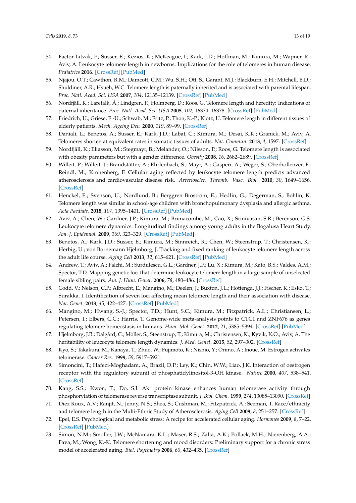- <span id="page-13-0"></span>54. Factor-Litvak, P.; Susser, E.; Kezios, K.; McKeague, I.; Kark, J.D.; Hoffman, M.; Kimura, M.; Wapner, R.; Aviv, A. Leukocyte telomere length in newborns: Implications for the role of telomeres in human disease. *Pediatrics* **2016**. [\[CrossRef\]](http://dx.doi.org/10.1542/peds.2015-3927) [\[PubMed\]](http://www.ncbi.nlm.nih.gov/pubmed/26969272)
- <span id="page-13-1"></span>55. Njajou, O.T.; Cawthon, R.M.; Damcott, C.M.; Wu, S.H.; Ott, S.; Garant, M.J.; Blackburn, E.H.; Mitchell, B.D.; Shuldiner, A.R.; Hsueh, W.C. Telomere length is paternally inherited and is associated with parental lifespan. *Proc. Natl. Acad. Sci. USA* **2007**, *104*, 12135–12139. [\[CrossRef\]](http://dx.doi.org/10.1073/pnas.0702703104) [\[PubMed\]](http://www.ncbi.nlm.nih.gov/pubmed/17623782)
- 56. Nordfjäll, K.; Larefalk, Å.; Lindgren, P.; Holmberg, D.; Roos, G. Telomere length and heredity: Indications of paternal inheritance. *Proc. Natl. Acad. Sci. USA* **2005**, *102*, 16374–16378. [\[CrossRef\]](http://dx.doi.org/10.1073/pnas.0501724102) [\[PubMed\]](http://www.ncbi.nlm.nih.gov/pubmed/16258070)
- <span id="page-13-2"></span>57. Friedrich, U.; Griese, E.-U.; Schwab, M.; Fritz, P.; Thon, K.-P.; Klotz, U. Telomere length in different tissues of elderly patients. *Mech. Ageing Dev.* **2000**, *119*, 89–99. [\[CrossRef\]](http://dx.doi.org/10.1016/S0047-6374(00)00173-1)
- <span id="page-13-3"></span>58. Daniali, L.; Benetos, A.; Susser, E.; Kark, J.D.; Labat, C.; Kimura, M.; Desai, K.K.; Granick, M.; Aviv, A. Telomeres shorten at equivalent rates in somatic tissues of adults. *Nat. Commun.* **2013**, *4*, 1597. [\[CrossRef\]](http://dx.doi.org/10.1038/ncomms2602)
- 59. Nordfjäll, K.; Eliasson, M.; Stegmayr, B.; Melander, O.; Nilsson, P.; Roos, G. Telomere length is associated with obesity parameters but with a gender difference. *Obesity* **2008**, *16*, 2682–2689. [\[CrossRef\]](http://dx.doi.org/10.1038/oby.2008.413)
- 60. Willeit, P.; Willeit, J.; Brandstätter, A.; Ehrlenbach, S.; Mayr, A.; Gasperi, A.; Weger, S.; Oberhollenzer, F.; Reindl, M.; Kronenberg, F. Cellular aging reflected by leukocyte telomere length predicts advanced atherosclerosis and cardiovascular disease risk. *Arterioscler. Thromb. Vasc. Biol.* **2010**, *30*, 1649–1656. [\[CrossRef\]](http://dx.doi.org/10.1161/ATVBAHA.110.205492)
- <span id="page-13-5"></span><span id="page-13-4"></span>61. Henckel, E.; Svenson, U.; Nordlund, B.; Berggren Broström, E.; Hedlin, G.; Degerman, S.; Bohlin, K. Telomere length was similar in school-age children with bronchopulmonary dysplasia and allergic asthma. *Acta Paediatr.* **2018**, *107*, 1395–1401. [\[CrossRef\]](http://dx.doi.org/10.1111/apa.14294) [\[PubMed\]](http://www.ncbi.nlm.nih.gov/pubmed/29476624)
- 62. Aviv, A.; Chen, W.; Gardner, J.P.; Kimura, M.; Brimacombe, M.; Cao, X.; Srinivasan, S.R.; Berenson, G.S. Leukocyte telomere dynamics: Longitudinal findings among young adults in the Bogalusa Heart Study. *Am. J. Epidemiol.* **2009**, *169*, 323–329. [\[CrossRef\]](http://dx.doi.org/10.1093/aje/kwn338) [\[PubMed\]](http://www.ncbi.nlm.nih.gov/pubmed/19056834)
- <span id="page-13-6"></span>63. Benetos, A.; Kark, J.D.; Susser, E.; Kimura, M.; Sinnreich, R.; Chen, W.; Steenstrup, T.; Christensen, K.; Herbig, U.; von Bornemann Hjelmborg, J. Tracking and fixed ranking of leukocyte telomere length across the adult life course. *Aging Cell* **2013**, *12*, 615–621. [\[CrossRef\]](http://dx.doi.org/10.1111/acel.12086) [\[PubMed\]](http://www.ncbi.nlm.nih.gov/pubmed/23601089)
- <span id="page-13-8"></span><span id="page-13-7"></span>64. Andrew, T.; Aviv, A.; Falchi, M.; Surdulescu, G.L.; Gardner, J.P.; Lu, X.; Kimura, M.; Kato, B.S.; Valdes, A.M.; Spector, T.D. Mapping genetic loci that determine leukocyte telomere length in a large sample of unselected female sibling pairs. *Am. J. Hum. Genet.* **2006**, *78*, 480–486. [\[CrossRef\]](http://dx.doi.org/10.1086/500052)
- <span id="page-13-9"></span>65. Codd, V.; Nelson, C.P.; Albrecht, E.; Mangino, M.; Deelen, J.; Buxton, J.L.; Hottenga, J.J.; Fischer, K.; Esko, T.; Surakka, I. Identification of seven loci affecting mean telomere length and their association with disease. *Nat. Genet.* **2013**, *45*, 422–427. [\[CrossRef\]](http://dx.doi.org/10.1038/ng.2528) [\[PubMed\]](http://www.ncbi.nlm.nih.gov/pubmed/23535734)
- <span id="page-13-10"></span>66. Mangino, M.; Hwang, S.-J.; Spector, T.D.; Hunt, S.C.; Kimura, M.; Fitzpatrick, A.L.; Christiansen, L.; Petersen, I.; Elbers, C.C.; Harris, T. Genome-wide meta-analysis points to CTC1 and ZNF676 as genes regulating telomere homeostasis in humans. *Hum. Mol. Genet.* **2012**, *21*, 5385–5394. [\[CrossRef\]](http://dx.doi.org/10.1093/hmg/dds382) [\[PubMed\]](http://www.ncbi.nlm.nih.gov/pubmed/23001564)
- <span id="page-13-12"></span><span id="page-13-11"></span>67. Hjelmborg, J.B.; Dalgård, C.; Möller, S.; Steenstrup, T.; Kimura, M.; Christensen, K.; Kyvik, K.O.; Aviv, A. The heritability of leucocyte telomere length dynamics. *J. Med. Genet.* **2015**, *52*, 297–302. [\[CrossRef\]](http://dx.doi.org/10.1136/jmedgenet-2014-102736)
- <span id="page-13-13"></span>68. Kyo, S.; Takakura, M.; Kanaya, T.; Zhuo, W.; Fujimoto, K.; Nishio, Y.; Orimo, A.; Inoue, M. Estrogen activates telomerase. *Cancer Res.* **1999**, *59*, 5917–5921.
- <span id="page-13-14"></span>69. Simoncini, T.; Hafezi-Moghadam, A.; Brazil, D.P.; Ley, K.; Chin, W.W.; Liao, J.K. Interaction of oestrogen receptor with the regulatory subunit of phosphatidylinositol-3-OH kinase. *Nature* **2000**, *407*, 538–541. [\[CrossRef\]](http://dx.doi.org/10.1038/35035131)
- 70. Kang, S.S.; Kwon, T.; Do, S.I. Akt protein kinase enhances human telomerase activity through phosphorylation of telomerase reverse transcriptase subunit. *J. Biol. Chem.* **1999**, *274*, 13085–13090. [\[CrossRef\]](http://dx.doi.org/10.1074/jbc.274.19.13085)
- <span id="page-13-15"></span>71. Diez Roux, A.V.; Ranjit, N.; Jenny, N.S.; Shea, S.; Cushman, M.; Fitzpatrick, A.; Seeman, T. Race/ethnicity and telomere length in the Multi-Ethnic Study of Atherosclerosis. *Aging Cell* **2009**, *8*, 251–257. [\[CrossRef\]](http://dx.doi.org/10.1111/j.1474-9726.2009.00470.x)
- <span id="page-13-16"></span>72. Epel, E.S. Psychological and metabolic stress: A recipe for accelerated cellular aging. *Hormones* **2009**, *8*, 7–22. [\[CrossRef\]](http://dx.doi.org/10.14310/horm.2002.1217) [\[PubMed\]](http://www.ncbi.nlm.nih.gov/pubmed/19269917)
- 73. Simon, N.M.; Smoller, J.W.; McNamara, K.L.; Maser, R.S.; Zalta, A.K.; Pollack, M.H.; Nierenberg, A.A.; Fava, M.; Wong, K.-K. Telomere shortening and mood disorders: Preliminary support for a chronic stress model of accelerated aging. *Biol. Psychiatry* **2006**, *60*, 432–435. [\[CrossRef\]](http://dx.doi.org/10.1016/j.biopsych.2006.02.004)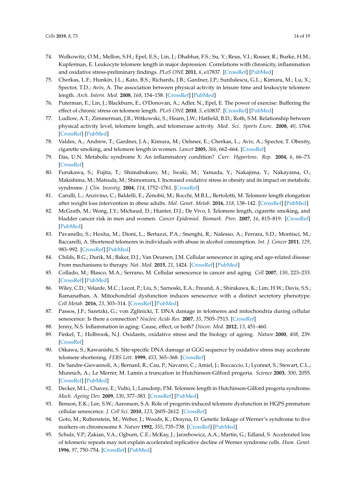- 74. Wolkowitz, O.M.; Mellon, S.H.; Epel, E.S.; Lin, J.; Dhabhar, F.S.; Su, Y.; Reus, V.I.; Rosser, R.; Burke, H.M.; Kupferman, E. Leukocyte telomere length in major depression: Correlations with chronicity, inflammation and oxidative stress-preliminary findings. *PLoS ONE* **2011**, *6*, e17837. [\[CrossRef\]](http://dx.doi.org/10.1371/journal.pone.0017837) [\[PubMed\]](http://www.ncbi.nlm.nih.gov/pubmed/21448457)
- 75. Cherkas, L.F.; Hunkin, J.L.; Kato, B.S.; Richards, J.B.; Gardner, J.P.; Surdulescu, G.L.; Kimura, M.; Lu, X.; Spector, T.D.; Aviv, A. The association between physical activity in leisure time and leukocyte telomere length. *Arch. Intern. Med.* **2008**, *168*, 154–158. [\[CrossRef\]](http://dx.doi.org/10.1001/archinternmed.2007.39) [\[PubMed\]](http://www.ncbi.nlm.nih.gov/pubmed/18227361)
- <span id="page-14-1"></span><span id="page-14-0"></span>76. Puterman, E.; Lin, J.; Blackburn, E.; O'Donovan, A.; Adler, N.; Epel, E. The power of exercise: Buffering the effect of chronic stress on telomere length. *PLoS ONE* **2010**, *5*, e10837. [\[CrossRef\]](http://dx.doi.org/10.1371/journal.pone.0010837) [\[PubMed\]](http://www.ncbi.nlm.nih.gov/pubmed/20520771)
- 77. Ludlow, A.T.; Zimmerman, J.B.; Witkowski, S.; Hearn, J.W.; Hatfield, B.D.; Roth, S.M. Relationship between physical activity level, telomere length, and telomerase activity. *Med. Sci. Sports Exerc.* **2008**, *40*, 1764. [\[CrossRef\]](http://dx.doi.org/10.1249/MSS.0b013e31817c92aa) [\[PubMed\]](http://www.ncbi.nlm.nih.gov/pubmed/18799986)
- 78. Valdes, A.; Andrew, T.; Gardner, J.A.; Kimura, M.; Oelsner, E.; Cherkas, L.; Aviv, A.; Spector, T. Obesity, cigarette smoking, and telomere length in women. *Lancet* **2005**, *366*, 662–664. [\[CrossRef\]](http://dx.doi.org/10.1016/S0140-6736(05)66630-5)
- <span id="page-14-2"></span>79. Das, U.N. Metabolic syndrome X: An inflammatory condition? *Curr. Hypertens. Rep.* **2004**, *6*, 66–73. [\[CrossRef\]](http://dx.doi.org/10.1007/s11906-004-0014-8)
- 80. Furukawa, S.; Fujita, T.; Shimabukuro, M.; Iwaki, M.; Yamada, Y.; Nakajima, Y.; Nakayama, O.; Makishima, M.; Matsuda, M.; Shimomura, I. Increased oxidative stress in obesity and its impact on metabolic syndrome. *J. Clin. Investig.* **2004**, *114*, 1752–1761. [\[CrossRef\]](http://dx.doi.org/10.1172/JCI21625)
- <span id="page-14-4"></span><span id="page-14-3"></span>81. Carulli, L.; Anzivino, C.; Baldelli, E.; Zenobii, M.; Rocchi, M.B.L.; Bertolotti, M. Telomere length elongation after weight loss intervention in obese adults. *Mol. Genet. Metab.* **2016**, *118*, 138–142. [\[CrossRef\]](http://dx.doi.org/10.1016/j.ymgme.2016.04.003) [\[PubMed\]](http://www.ncbi.nlm.nih.gov/pubmed/27157420)
- <span id="page-14-5"></span>82. McGrath, M.; Wong, J.Y.; Michaud, D.; Hunter, D.J.; De Vivo, I. Telomere length, cigarette smoking, and bladder cancer risk in men and women. *Cancer Epidemiol. Biomark. Prev.* **2007**, *16*, 815–819. [\[CrossRef\]](http://dx.doi.org/10.1158/1055-9965.EPI-06-0961) [\[PubMed\]](http://www.ncbi.nlm.nih.gov/pubmed/17416776)
- 83. Pavanello, S.; Hoxha, M.; Dioni, L.; Bertazzi, P.A.; Snenghi, R.; Nalesso, A.; Ferrara, S.D.; Montisci, M.; Baccarelli, A. Shortened telomeres in individuals with abuse in alcohol consumption. *Int. J. Cancer* **2011**, *129*, 983–992. [\[CrossRef\]](http://dx.doi.org/10.1002/ijc.25999) [\[PubMed\]](http://www.ncbi.nlm.nih.gov/pubmed/21351086)
- <span id="page-14-6"></span>84. Childs, B.G.; Durik, M.; Baker, D.J.; Van Deursen, J.M. Cellular senescence in aging and age-related disease: From mechanisms to therapy. *Nat. Med.* **2015**, *21*, 1424. [\[CrossRef\]](http://dx.doi.org/10.1038/nm.4000) [\[PubMed\]](http://www.ncbi.nlm.nih.gov/pubmed/26646499)
- 85. Collado, M.; Blasco, M.A.; Serrano, M. Cellular senescence in cancer and aging. *Cell* **2007**, *130*, 223–233. [\[CrossRef\]](http://dx.doi.org/10.1016/j.cell.2007.07.003) [\[PubMed\]](http://www.ncbi.nlm.nih.gov/pubmed/17662938)
- <span id="page-14-7"></span>86. Wiley, C.D.; Velarde, M.C.; Lecot, P.; Liu, S.; Sarnoski, E.A.; Freund, A.; Shirakawa, K.; Lim, H.W.; Davis, S.S.; Ramanathan, A. Mitochondrial dysfunction induces senescence with a distinct secretory phenotype. *Cell Metab.* **2016**, *23*, 303–314. [\[CrossRef\]](http://dx.doi.org/10.1016/j.cmet.2015.11.011) [\[PubMed\]](http://www.ncbi.nlm.nih.gov/pubmed/26686024)
- 87. Passos, J.F.; Saretzki, G.; von Zglinicki, T. DNA damage in telomeres and mitochondria during cellular senescence: Is there a connection? *Nucleic Acids Res.* **2007**, *35*, 7505–7513. [\[CrossRef\]](http://dx.doi.org/10.1093/nar/gkm893)
- 88. Jenny, N.S. Inflammation in aging: Cause, effect, or both? *Discov. Med.* **2012**, *13*, 451–460.
- 89. Finkel, T.; Holbrook, N.J. Oxidants, oxidative stress and the biology of ageing. *Nature* **2000**, *408*, 239. [\[CrossRef\]](http://dx.doi.org/10.1038/35041687)
- 90. Oikawa, S.; Kawanishi, S. Site-specific DNA damage at GGG sequence by oxidative stress may accelerate telomere shortening. *FEBS Lett.* **1999**, *453*, 365–368. [\[CrossRef\]](http://dx.doi.org/10.1016/S0014-5793(99)00748-6)
- <span id="page-14-8"></span>91. De Sandre-Giovannoli, A.; Bernard, R.; Cau, P.; Navarro, C.; Amiel, J.; Boccaccio, I.; Lyonnet, S.; Stewart, C.L.; Munnich, A.; Le Merrer, M. Lamin a truncation in Hutchinson-Gilford progeria. *Science* **2003**, *300*, 2055. [\[CrossRef\]](http://dx.doi.org/10.1126/science.1084125) [\[PubMed\]](http://www.ncbi.nlm.nih.gov/pubmed/12702809)
- 92. Decker, M.L.; Chavez, E.; Vulto, I.; Lansdorp, P.M. Telomere length in Hutchinson-Gilford progeria syndrome. *Mech. Ageing Dev.* **2009**, *130*, 377–383. [\[CrossRef\]](http://dx.doi.org/10.1016/j.mad.2009.03.001) [\[PubMed\]](http://www.ncbi.nlm.nih.gov/pubmed/19428457)
- <span id="page-14-9"></span>93. Benson, E.K.; Lee, S.W.; Aaronson, S.A. Role of progerin-induced telomere dysfunction in HGPS premature cellular senescence. *J. Cell Sci.* **2010**, *123*, 2605–2612. [\[CrossRef\]](http://dx.doi.org/10.1242/jcs.067306)
- <span id="page-14-10"></span>94. Goto, M.; Rubenstein, M.; Weber, J.; Woods, K.; Drayna, D. Genetic linkage of Werner's syndrome to five markers on chromosome 8. *Nature* **1992**, *355*, 735–738. [\[CrossRef\]](http://dx.doi.org/10.1038/355735a0) [\[PubMed\]](http://www.ncbi.nlm.nih.gov/pubmed/1741060)
- <span id="page-14-11"></span>95. Schulz, V.P.; Zakian, V.A.; Ogburn, C.E.; McKay, J.; Jarzebowicz, A.A.; Martin, G.; Edland, S. Accelerated loss of telomeric repeats may not explain accelerated replicative decline of Werner syndrome cells. *Hum. Genet.* **1996**, *97*, 750–754. [\[CrossRef\]](http://dx.doi.org/10.1007/BF02346184) [\[PubMed\]](http://www.ncbi.nlm.nih.gov/pubmed/8641691)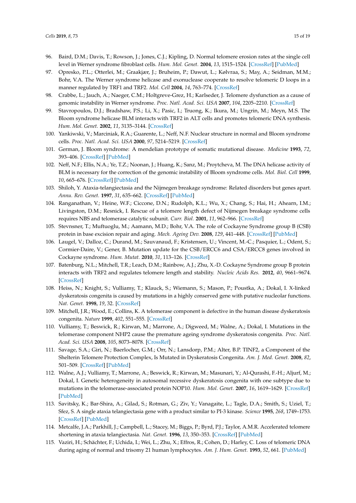- 96. Baird, D.M.; Davis, T.; Rowson, J.; Jones, C.J.; Kipling, D. Normal telomere erosion rates at the single cell level in Werner syndrome fibroblast cells. *Hum. Mol. Genet.* **2004**, *13*, 1515–1524. [\[CrossRef\]](http://dx.doi.org/10.1093/hmg/ddh159) [\[PubMed\]](http://www.ncbi.nlm.nih.gov/pubmed/15150162)
- <span id="page-15-0"></span>97. Opresko, P.L.; Otterlei, M.; Graakjær, J.; Bruheim, P.; Dawut, L.; Kølvraa, S.; May, A.; Seidman, M.M.; Bohr, V.A. The Werner syndrome helicase and exonuclease cooperate to resolve telomeric D loops in a manner regulated by TRF1 and TRF2. *Mol. Cell* **2004**, *14*, 763–774. [\[CrossRef\]](http://dx.doi.org/10.1016/j.molcel.2004.05.023)
- <span id="page-15-1"></span>98. Crabbe, L.; Jauch, A.; Naeger, C.M.; Holtgreve-Grez, H.; Karlseder, J. Telomere dysfunction as a cause of genomic instability in Werner syndrome. *Proc. Natl. Acad. Sci. USA* **2007**, *104*, 2205–2210. [\[CrossRef\]](http://dx.doi.org/10.1073/pnas.0609410104)
- 99. Stavropoulos, D.J.; Bradshaw, P.S.; Li, X.; Pasic, I.; Truong, K.; Ikura, M.; Ungrin, M.; Meyn, M.S. The Bloom syndrome helicase BLM interacts with TRF2 in ALT cells and promotes telomeric DNA synthesis. *Hum. Mol. Genet.* **2002**, *11*, 3135–3144. [\[CrossRef\]](http://dx.doi.org/10.1093/hmg/11.25.3135)
- <span id="page-15-2"></span>100. Yankiwski, V.; Marciniak, R.A.; Guarente, L.; Neff, N.F. Nuclear structure in normal and Bloom syndrome cells. *Proc. Natl. Acad. Sci. USA* **2000**, *97*, 5214–5219. [\[CrossRef\]](http://dx.doi.org/10.1073/pnas.090525897)
- <span id="page-15-3"></span>101. German, J. Bloom syndrome: A mendelian prototype of somatic mutational disease. *Medicine* **1993**, *72*, 393–406. [\[CrossRef\]](http://dx.doi.org/10.1097/00005792-199311000-00003) [\[PubMed\]](http://www.ncbi.nlm.nih.gov/pubmed/8231788)
- 102. Neff, N.F.; Ellis, N.A.; Ye, T.Z.; Noonan, J.; Huang, K.; Sanz, M.; Proytcheva, M. The DNA helicase activity of BLM is necessary for the correction of the genomic instability of Bloom syndrome cells. *Mol. Biol. Cell* **1999**, *10*, 665–676. [\[CrossRef\]](http://dx.doi.org/10.1091/mbc.10.3.665) [\[PubMed\]](http://www.ncbi.nlm.nih.gov/pubmed/10069810)
- <span id="page-15-4"></span>103. Shiloh, Y. Ataxia-telangiectasia and the Nijmegen breakage syndrome: Related disorders but genes apart. *Annu. Rev. Genet.* **1997**, *31*, 635–662. [\[CrossRef\]](http://dx.doi.org/10.1146/annurev.genet.31.1.635) [\[PubMed\]](http://www.ncbi.nlm.nih.gov/pubmed/9442910)
- <span id="page-15-5"></span>104. Ranganathan, V.; Heine, W.F.; Ciccone, D.N.; Rudolph, K.L.; Wu, X.; Chang, S.; Hai, H.; Ahearn, I.M.; Livingston, D.M.; Resnick, I. Rescue of a telomere length defect of Nijmegen breakage syndrome cells requires NBS and telomerase catalytic subunit. *Curr. Biol.* **2001**, *11*, 962–966. [\[CrossRef\]](http://dx.doi.org/10.1016/S0960-9822(01)00267-6)
- <span id="page-15-6"></span>105. Stevnsner, T.; Muftuoglu, M.; Aamann, M.D.; Bohr, V.A. The role of Cockayne Syndrome group B (CSB) protein in base excision repair and aging. *Mech. Ageing Dev.* **2008**, *129*, 441–448. [\[CrossRef\]](http://dx.doi.org/10.1016/j.mad.2008.04.009) [\[PubMed\]](http://www.ncbi.nlm.nih.gov/pubmed/18541289)
- <span id="page-15-7"></span>106. Laugel, V.; Dalloz, C.; Durand, M.; Sauvanaud, F.; Kristensen, U.; Vincent, M.-C.; Pasquier, L.; Odent, S.; Cormier-Daire, V.; Gener, B. Mutation update for the CSB/ERCC6 and CSA/ERCC8 genes involved in Cockayne syndrome. *Hum. Mutat.* **2010**, *31*, 113–126. [\[CrossRef\]](http://dx.doi.org/10.1002/humu.21154)
- <span id="page-15-9"></span><span id="page-15-8"></span>107. Batenburg, N.L.; Mitchell, T.R.; Leach, D.M.; Rainbow, A.J.; Zhu, X.-D. Cockayne Syndrome group B protein interacts with TRF2 and regulates telomere length and stability. *Nucleic Acids Res.* **2012**, *40*, 9661–9674. [\[CrossRef\]](http://dx.doi.org/10.1093/nar/gks745)
- <span id="page-15-10"></span>108. Heiss, N.; Knight, S.; Vulliamy, T.; Klauck, S.; Wiemann, S.; Mason, P.; Poustka, A.; Dokal, I. X-linked dyskeratosis congenita is caused by mutations in a highly conserved gene with putative nucleolar functions. *Nat. Genet.* **1998**, *19*, 32. [\[CrossRef\]](http://dx.doi.org/10.1038/ng0598-32)
- 109. Mitchell, J.R.; Wood, E.; Collins, K. A telomerase component is defective in the human disease dyskeratosis congenita. *Nature* **1999**, *402*, 551–555. [\[CrossRef\]](http://dx.doi.org/10.1038/990141)
- <span id="page-15-11"></span>110. Vulliamy, T.; Beswick, R.; Kirwan, M.; Marrone, A.; Digweed, M.; Walne, A.; Dokal, I. Mutations in the telomerase component NHP2 cause the premature ageing syndrome dyskeratosis congenita. *Proc. Natl. Acad. Sci. USA* **2008**, *105*, 8073–8078. [\[CrossRef\]](http://dx.doi.org/10.1073/pnas.0800042105)
- <span id="page-15-12"></span>111. Savage, S.A.; Giri, N.; Baerlocher, G.M.; Orr, N.; Lansdorp, P.M.; Alter, B.P. TINF2, a Component of the Shelterin Telomere Protection Complex, Is Mutated in Dyskeratosis Congenita. *Am. J. Med. Genet.* **2008**, *82*, 501–509. [\[CrossRef\]](http://dx.doi.org/10.1016/j.ajhg.2007.10.004) [\[PubMed\]](http://www.ncbi.nlm.nih.gov/pubmed/18252230)
- <span id="page-15-14"></span><span id="page-15-13"></span>112. Walne, A.J.; Vulliamy, T.; Marrone, A.; Beswick, R.; Kirwan, M.; Masunari, Y.; Al-Qurashi, F.-H.; Aljurf, M.; Dokal, I. Genetic heterogeneity in autosomal recessive dyskeratosis congenita with one subtype due to mutations in the telomerase-associated protein NOP10. *Hum. Mol. Genet.* **2007**, *16*, 1619–1629. [\[CrossRef\]](http://dx.doi.org/10.1093/hmg/ddm111) [\[PubMed\]](http://www.ncbi.nlm.nih.gov/pubmed/17507419)
- <span id="page-15-15"></span>113. Savitsky, K.; Bar-Shira, A.; Gilad, S.; Rotman, G.; Ziv, Y.; Vanagaite, L.; Tagle, D.A.; Smith, S.; Uziel, T.; Sfez, S. A single ataxia telangiectasia gene with a product similar to PI-3 kinase. *Science* **1995**, *268*, 1749–1753. [\[CrossRef\]](http://dx.doi.org/10.1126/science.7792600) [\[PubMed\]](http://www.ncbi.nlm.nih.gov/pubmed/7792600)
- <span id="page-15-16"></span>114. Metcalfe, J.A.; Parkhill, J.; Campbell, L.; Stacey, M.; Biggs, P.; Byrd, P.J.; Taylor, A.M.R. Accelerated telomere shortening in ataxia telangiectasia. *Nat. Genet.* **1996**, *13*, 350–353. [\[CrossRef\]](http://dx.doi.org/10.1038/ng0796-350) [\[PubMed\]](http://www.ncbi.nlm.nih.gov/pubmed/8673136)
- 115. Vaziri, H.; Schächter, F.; Uchida, I.; Wei, L.; Zhu, X.; Effros, R.; Cohen, D.; Harley, C. Loss of telomeric DNA during aging of normal and trisomy 21 human lymphocytes. *Am. J. Hum. Genet.* **1993**, *52*, 661. [\[PubMed\]](http://www.ncbi.nlm.nih.gov/pubmed/8460632)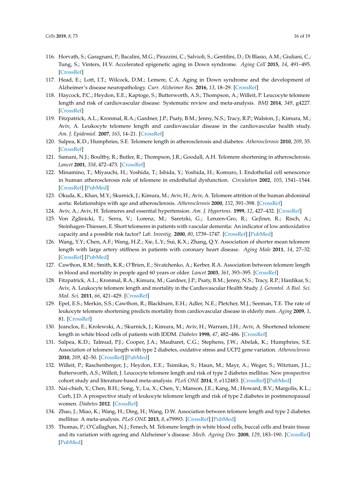- <span id="page-16-1"></span>116. Horvath, S.; Garagnani, P.; Bacalini, M.G.; Pirazzini, C.; Salvioli, S.; Gentilini, D.; Di Blasio, A.M.; Giuliani, C.; Tung, S.; Vinters, H.V. Accelerated epigenetic aging in Down syndrome. *Aging Cell* **2015**, *14*, 491–495. [\[CrossRef\]](http://dx.doi.org/10.1111/acel.12325)
- 117. Head, E.; Lott, I.T.; Wilcock, D.M.; Lemere, C.A. Aging in Down syndrome and the development of Alzheimer's disease neuropathology. *Curr. Alzheimer Res.* **2016**, *13*, 18–29. [\[CrossRef\]](http://dx.doi.org/10.2174/1567205012666151020114607)
- <span id="page-16-2"></span>118. Haycock, P.C.; Heydon, E.E.; Kaptoge, S.; Butterworth, A.S.; Thompson, A.; Willeit, P. Leucocyte telomere length and risk of cardiovascular disease: Systematic review and meta-analysis. *BMJ* **2014**, *349*, g4227. [\[CrossRef\]](http://dx.doi.org/10.1136/bmj.g4227)
- <span id="page-16-0"></span>119. Fitzpatrick, A.L.; Kronmal, R.A.; Gardner, J.P.; Psaty, B.M.; Jenny, N.S.; Tracy, R.P.; Walston, J.; Kimura, M.; Aviv, A. Leukocyte telomere length and cardiovascular disease in the cardiovascular health study. *Am. J. Epidemiol.* **2007**, *165*, 14–21. [\[CrossRef\]](http://dx.doi.org/10.1093/aje/kwj346)
- <span id="page-16-3"></span>120. Salpea, K.D.; Humphries, S.E. Telomere length in atherosclerosis and diabetes. *Atherosclerosis* **2010**, *209*, 35. [\[CrossRef\]](http://dx.doi.org/10.1016/j.atherosclerosis.2009.12.021)
- 121. Samani, N.J.; Boultby, R.; Butler, R.; Thompson, J.R.; Goodall, A.H. Telomere shortening in atherosclerosis. *Lancet* **2001**, *358*, 472–473. [\[CrossRef\]](http://dx.doi.org/10.1016/S0140-6736(01)05633-1)
- <span id="page-16-4"></span>122. Minamino, T.; Miyauchi, H.; Yoshida, T.; Ishida, Y.; Yoshida, H.; Komuro, I. Endothelial cell senescence in human atherosclerosis role of telomere in endothelial dysfunction. *Circulation* **2002**, *105*, 1541–1544. [\[CrossRef\]](http://dx.doi.org/10.1161/01.CIR.0000013836.85741.17) [\[PubMed\]](http://www.ncbi.nlm.nih.gov/pubmed/11927518)
- <span id="page-16-5"></span>123. Okuda, K.; Khan, M.Y.; Skurnick, J.; Kimura, M.; Aviv, H.; Aviv, A. Telomere attrition of the human abdominal aorta: Relationships with age and atherosclerosis. *Atherosclerosis* **2000**, *152*, 391–398. [\[CrossRef\]](http://dx.doi.org/10.1016/S0021-9150(99)00482-7)
- <span id="page-16-6"></span>124. Aviv, A.; Aviv, H. Telomeres and essential hypertension. *Am. J. Hypertens.* **1999**, *12*, 427–432. [\[CrossRef\]](http://dx.doi.org/10.1016/S0895-7061(98)00202-7)
- 125. Von Zglinicki, T.; Serra, V.; Lorenz, M.; Saretzki, G.; Lenzen-Gro, R.; Geβner, R.; Risch, A.; Steinhagen-Thiessen, E. Short telomeres in patients with vascular dementia: An indicator of low antioxidative capacity and a possible risk factor? *Lab. Investig.* **2000**, *80*, 1739–1747. [\[CrossRef\]](http://dx.doi.org/10.1038/labinvest.3780184) [\[PubMed\]](http://www.ncbi.nlm.nih.gov/pubmed/11092534)
- <span id="page-16-7"></span>126. Wang, Y.Y.; Chen, A.F.; Wang, H.Z.; Xie, L.Y.; Sui, K.X.; Zhang, Q.Y. Association of shorter mean telomere length with large artery stiffness in patients with coronary heart disease. *Aging Male* **2011**, *14*, 27–32. [\[CrossRef\]](http://dx.doi.org/10.3109/13685538.2010.529196) [\[PubMed\]](http://www.ncbi.nlm.nih.gov/pubmed/21067315)
- <span id="page-16-9"></span><span id="page-16-8"></span>127. Cawthon, R.M.; Smith, K.R.; O'Brien, E.; Sivatchenko, A.; Kerber, R.A. Association between telomere length in blood and mortality in people aged 60 years or older. *Lancet* **2003**, *361*, 393–395. [\[CrossRef\]](http://dx.doi.org/10.1016/S0140-6736(03)12384-7)
- <span id="page-16-10"></span>128. Fitzpatrick, A.L.; Kronmal, R.A.; Kimura, M.; Gardner, J.P.; Psaty, B.M.; Jenny, N.S.; Tracy, R.P.; Hardikar, S.; Aviv, A. Leukocyte telomere length and mortality in the Cardiovascular Health Study. *J. Gerontol. A Biol. Sci. Med. Sci.* **2011**, *66*, 421–429. [\[CrossRef\]](http://dx.doi.org/10.1093/gerona/glq224)
- <span id="page-16-11"></span>129. Epel, E.S.; Merkin, S.S.; Cawthon, R.; Blackburn, E.H.; Adler, N.E.; Pletcher, M.J.; Seeman, T.E. The rate of leukocyte telomere shortening predicts mortality from cardiovascular disease in elderly men. *Aging* **2009**, *1*, 81. [\[CrossRef\]](http://dx.doi.org/10.18632/aging.100007)
- <span id="page-16-12"></span>130. Jeanclos, E.; Krolewski, A.; Skurnick, J.; Kimura, M.; Aviv, H.; Warram, J.H.; Aviv, A. Shortened telomere length in white blood cells of patients with IDDM. *Diabetes* **1998**, *47*, 482–486. [\[CrossRef\]](http://dx.doi.org/10.2337/diabetes.47.3.482)
- <span id="page-16-13"></span>131. Salpea, K.D.; Talmud, P.J.; Cooper, J.A.; Maubaret, C.G.; Stephens, J.W.; Abelak, K.; Humphries, S.E. Association of telomere length with type 2 diabetes, oxidative stress and UCP2 gene variation. *Atherosclerosis* **2010**, *209*, 42–50. [\[CrossRef\]](http://dx.doi.org/10.1016/j.atherosclerosis.2009.09.070) [\[PubMed\]](http://www.ncbi.nlm.nih.gov/pubmed/19889414)
- <span id="page-16-14"></span>132. Willeit, P.; Raschenberger, J.; Heydon, E.E.; Tsimikas, S.; Haun, M.; Mayr, A.; Weger, S.; Witztum, J.L.; Butterworth, A.S.; Willeit, J. Leucocyte telomere length and risk of type 2 diabetes mellitus: New prospective cohort study and literature-based meta-analysis. *PLoS ONE* **2014**, *9*, e112483. [\[CrossRef\]](http://dx.doi.org/10.1371/journal.pone.0112483) [\[PubMed\]](http://www.ncbi.nlm.nih.gov/pubmed/25390655)
- <span id="page-16-16"></span><span id="page-16-15"></span>133. Nai-chieh, Y.; Chen, B.H.; Song, Y.; Lu, X.; Chen, Y.; Manson, J.E.; Kang, M.; Howard, B.V.; Margolis, K.L.; Curb, J.D. A prospective study of leukocyte telomere length and risk of type 2 diabetes in postmenopausal women. *Diabetes* **2012**. [\[CrossRef\]](http://dx.doi.org/10.2337/db12-0241)
- <span id="page-16-17"></span>134. Zhao, J.; Miao, K.; Wang, H.; Ding, H.; Wang, D.W. Association between telomere length and type 2 diabetes mellitus: A meta-analysis. *PLoS ONE* **2013**, *8*, e79993. [\[CrossRef\]](http://dx.doi.org/10.1371/journal.pone.0079993) [\[PubMed\]](http://www.ncbi.nlm.nih.gov/pubmed/24278229)
- 135. Thomas, P.; O'Callaghan, N.J.; Fenech, M. Telomere length in white blood cells, buccal cells and brain tissue and its variation with ageing and Alzheimer's disease. *Mech. Ageing Dev.* **2008**, *129*, 183–190. [\[CrossRef\]](http://dx.doi.org/10.1016/j.mad.2007.12.004) [\[PubMed\]](http://www.ncbi.nlm.nih.gov/pubmed/18242664)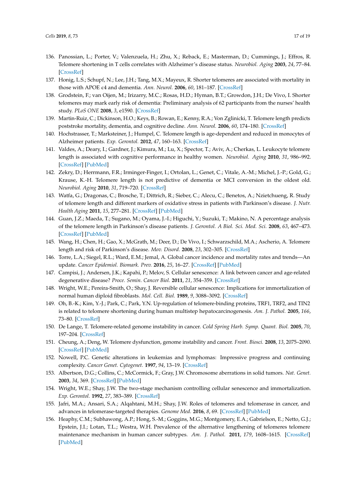- <span id="page-17-0"></span>136. Panossian, L.; Porter, V.; Valenzuela, H.; Zhu, X.; Reback, E.; Masterman, D.; Cummings, J.; Effros, R. Telomere shortening in T cells correlates with Alzheimer's disease status. *Neurobiol. Aging* **2003**, *24*, 77–84. [\[CrossRef\]](http://dx.doi.org/10.1016/S0197-4580(02)00043-X)
- 137. Honig, L.S.; Schupf, N.; Lee, J.H.; Tang, M.X.; Mayeux, R. Shorter telomeres are associated with mortality in those with APOE  $\epsilon$ 4 and dementia. *Ann. Neurol.* 2006, 60, 181-187. [\[CrossRef\]](http://dx.doi.org/10.1002/ana.20894)
- <span id="page-17-1"></span>138. Grodstein, F.; van Oijen, M.; Irizarry, M.C.; Rosas, H.D.; Hyman, B.T.; Growdon, J.H.; De Vivo, I. Shorter telomeres may mark early risk of dementia: Preliminary analysis of 62 participants from the nurses' health study. *PLoS ONE* **2008**, *3*, e1590. [\[CrossRef\]](http://dx.doi.org/10.1371/journal.pone.0001590)
- <span id="page-17-2"></span>139. Martin-Ruiz, C.; Dickinson, H.O.; Keys, B.; Rowan, E.; Kenny, R.A.; Von Zglinicki, T. Telomere length predicts poststroke mortality, dementia, and cognitive decline. *Ann. Neurol.* **2006**, *60*, 174–180. [\[CrossRef\]](http://dx.doi.org/10.1002/ana.20869)
- <span id="page-17-3"></span>140. Hochstrasser, T.; Marksteiner, J.; Humpel, C. Telomere length is age-dependent and reduced in monocytes of Alzheimer patients. *Exp. Gerontol.* **2012**, *47*, 160–163. [\[CrossRef\]](http://dx.doi.org/10.1016/j.exger.2011.11.012)
- 141. Valdes, A.; Deary, I.; Gardner, J.; Kimura, M.; Lu, X.; Spector, T.; Aviv, A.; Cherkas, L. Leukocyte telomere length is associated with cognitive performance in healthy women. *Neurobiol. Aging* **2010**, *31*, 986–992. [\[CrossRef\]](http://dx.doi.org/10.1016/j.neurobiolaging.2008.07.012) [\[PubMed\]](http://www.ncbi.nlm.nih.gov/pubmed/18718693)
- <span id="page-17-4"></span>142. Zekry, D.; Herrmann, F.R.; Irminger-Finger, I.; Ortolan, L.; Genet, C.; Vitale, A.-M.; Michel, J.-P.; Gold, G.; Krause, K.-H. Telomere length is not predictive of dementia or MCI conversion in the oldest old. *Neurobiol. Aging* **2010**, *31*, 719–720. [\[CrossRef\]](http://dx.doi.org/10.1016/j.neurobiolaging.2008.05.016)
- <span id="page-17-5"></span>143. Watfa, G.; Dragonas, C.; Brosche, T.; Dittrich, R.; Sieber, C.; Alecu, C.; Benetos, A.; Nzietchueng, R. Study of telomere length and different markers of oxidative stress in patients with Parkinson's disease. *J. Nutr. Health Aging* **2011**, *15*, 277–281. [\[CrossRef\]](http://dx.doi.org/10.1007/s12603-010-0275-7) [\[PubMed\]](http://www.ncbi.nlm.nih.gov/pubmed/21437559)
- <span id="page-17-6"></span>144. Guan, J.Z.; Maeda, T.; Sugano, M.; Oyama, J.-I.; Higuchi, Y.; Suzuki, T.; Makino, N. A percentage analysis of the telomere length in Parkinson's disease patients. *J. Gerontol. A Biol. Sci. Med. Sci.* **2008**, *63*, 467–473. [\[CrossRef\]](http://dx.doi.org/10.1093/gerona/63.5.467) [\[PubMed\]](http://www.ncbi.nlm.nih.gov/pubmed/18511749)
- <span id="page-17-7"></span>145. Wang, H.; Chen, H.; Gao, X.; McGrath, M.; Deer, D.; De Vivo, I.; Schwarzschild, M.A.; Ascherio, A. Telomere length and risk of Parkinson's disease. *Mov. Disord.* **2008**, *23*, 302–305. [\[CrossRef\]](http://dx.doi.org/10.1002/mds.21867)
- 146. Torre, L.A.; Siegel, R.L.; Ward, E.M.; Jemal, A. Global cancer incidence and mortality rates and trends—An update. *Cancer Epidemiol. Biomark. Prev.* **2016**, *25*, 16–27. [\[CrossRef\]](http://dx.doi.org/10.1158/1055-9965.EPI-15-0578) [\[PubMed\]](http://www.ncbi.nlm.nih.gov/pubmed/26667886)
- <span id="page-17-8"></span>147. Campisi, J.; Andersen, J.K.; Kapahi, P.; Melov, S. Cellular senescence: A link between cancer and age-related degenerative disease? *Proce. Semin. Cancer Biol.* **2011**, *21*, 354–359. [\[CrossRef\]](http://dx.doi.org/10.1016/j.semcancer.2011.09.001)
- 148. Wright, W.E.; Pereira-Smith, O.; Shay, J. Reversible cellular senescence: Implications for immortalization of normal human diploid fibroblasts. *Mol. Cell. Biol.* **1989**, *9*, 3088–3092. [\[CrossRef\]](http://dx.doi.org/10.1128/MCB.9.7.3088)
- <span id="page-17-9"></span>149. Oh, B.-K.; Kim, Y.-J.; Park, C.; Park, Y.N. Up-regulation of telomere-binding proteins, TRF1, TRF2, and TIN2 is related to telomere shortening during human multistep hepatocarcinogenesis. *Am. J. Pathol.* **2005**, *166*, 73–80. [\[CrossRef\]](http://dx.doi.org/10.1016/S0002-9440(10)62233-X)
- <span id="page-17-10"></span>150. De Lange, T. Telomere-related genome instability in cancer. *Cold Spring Harb. Symp. Quant. Biol.* **2005**, *70*, 197–204. [\[CrossRef\]](http://dx.doi.org/10.1101/sqb.2005.70.032)
- <span id="page-17-11"></span>151. Cheung, A.; Deng, W. Telomere dysfunction, genome instability and cancer. *Front. Biosci.* **2008**, *13*, 2075–2090. [\[CrossRef\]](http://dx.doi.org/10.2741/2825) [\[PubMed\]](http://www.ncbi.nlm.nih.gov/pubmed/17981693)
- 152. Nowell, P.C. Genetic alterations in leukemias and lymphomas: Impressive progress and continuing complexity. *Cancer Genet. Cytogenet.* **1997**, *94*, 13–19. [\[CrossRef\]](http://dx.doi.org/10.1016/S0165-4608(96)00227-0)
- <span id="page-17-12"></span>153. Albertson, D.G.; Collins, C.; McCormick, F.; Gray, J.W. Chromosome aberrations in solid tumors. *Nat. Genet.* **2003**, *34*, 369. [\[CrossRef\]](http://dx.doi.org/10.1038/ng1215) [\[PubMed\]](http://www.ncbi.nlm.nih.gov/pubmed/12923544)
- <span id="page-17-13"></span>154. Wright, W.E.; Shay, J.W. The two-stage mechanism controlling cellular senescence and immortalization. *Exp. Gerontol.* **1992**, *27*, 383–389. [\[CrossRef\]](http://dx.doi.org/10.1016/0531-5565(92)90069-C)
- 155. Jafri, M.A.; Ansari, S.A.; Alqahtani, M.H.; Shay, J.W. Roles of telomeres and telomerase in cancer, and advances in telomerase-targeted therapies. *Genome Med.* **2016**, *8*, 69. [\[CrossRef\]](http://dx.doi.org/10.1186/s13073-016-0324-x) [\[PubMed\]](http://www.ncbi.nlm.nih.gov/pubmed/27323951)
- <span id="page-17-15"></span><span id="page-17-14"></span>156. Heaphy, C.M.; Subhawong, A.P.; Hong, S.-M.; Goggins, M.G.; Montgomery, E.A.; Gabrielson, E.; Netto, G.J.; Epstein, J.I.; Lotan, T.L.; Westra, W.H. Prevalence of the alternative lengthening of telomeres telomere maintenance mechanism in human cancer subtypes. *Am. J. Pathol.* **2011**, *179*, 1608–1615. [\[CrossRef\]](http://dx.doi.org/10.1016/j.ajpath.2011.06.018) [\[PubMed\]](http://www.ncbi.nlm.nih.gov/pubmed/21888887)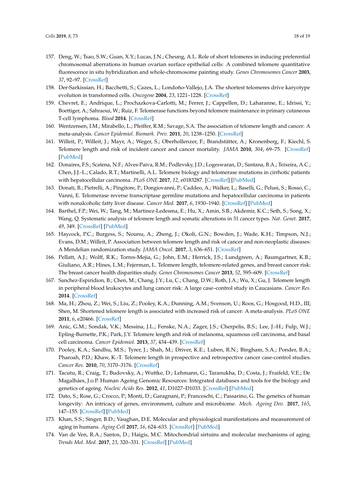- <span id="page-18-0"></span>157. Deng, W.; Tsao, S.W.; Guan, X.Y.; Lucas, J.N.; Cheung, A.L. Role of short telomeres in inducing preferential chromosomal aberrations in human ovarian surface epithelial cells: A combined telomere quantitative fluorescence in situ hybridization and whole-chromosome painting study. *Genes Chromosomes Cancer* **2003**, *37*, 92–97. [\[CrossRef\]](http://dx.doi.org/10.1002/gcc.10190)
- 158. Der-Sarkissian, H.; Bacchetti, S.; Cazes, L.; Londoño-Vallejo, J.A. The shortest telomeres drive karyotype evolution in transformed cells. *Oncogene* **2004**, *23*, 1221–1228. [\[CrossRef\]](http://dx.doi.org/10.1038/sj.onc.1207152)
- <span id="page-18-1"></span>159. Chevret, E.; Andrique, L.; Prochazkova-Carlotti, M.; Ferrer, J.; Cappellen, D.; Laharanne, E.; Idrissi, Y.; Boettiger, A.; Sahraoui, W.; Ruiz, F. Telomerase functions beyond telomere maintenance in primary cutaneous T-cell lymphoma. *Blood* **2014**. [\[CrossRef\]](http://dx.doi.org/10.1182/blood-2013-05-500686)
- 160. Wentzensen, I.M.; Mirabello, L.; Pfeiffer, R.M.; Savage, S.A. The association of telomere length and cancer: A meta-analysis. *Cancer Epidemiol. Biomark. Prev.* **2011**, *20*, 1238–1250. [\[CrossRef\]](http://dx.doi.org/10.1158/1055-9965.EPI-11-0005)
- 161. Willeit, P.; Willeit, J.; Mayr, A.; Weger, S.; Oberhollenzer, F.; Brandstätter, A.; Kronenberg, F.; Kiechl, S. Telomere length and risk of incident cancer and cancer mortality. *JAMA* **2010**, *304*, 69–75. [\[CrossRef\]](http://dx.doi.org/10.1001/jama.2010.897) [\[PubMed\]](http://www.ncbi.nlm.nih.gov/pubmed/20606151)
- 162. Donaires, F.S.; Scatena, N.F.; Alves-Paiva, R.M.; Podlevsky, J.D.; Logeswaran, D.; Santana, B.A.; Teixeira, A.C.; Chen, J.J.-L.; Calado, R.T.; Martinelli, A.L. Telomere biology and telomerase mutations in cirrhotic patients with hepatocellular carcinoma. *PLoS ONE* **2017**, *12*, e0183287. [\[CrossRef\]](http://dx.doi.org/10.1371/journal.pone.0183287) [\[PubMed\]](http://www.ncbi.nlm.nih.gov/pubmed/28813500)
- 163. Donati, B.; Pietrelli, A.; Pingitore, P.; Dongiovanni, P.; Caddeo, A.; Walker, L.; Baselli, G.; Pelusi, S.; Rosso, C.; Vanni, E. Telomerase reverse transcriptase germline mutations and hepatocellular carcinoma in patients with nonalcoholic fatty liver disease. *Cancer Med.* **2017**, *6*, 1930–1940. [\[CrossRef\]](http://dx.doi.org/10.1002/cam4.1078) [\[PubMed\]](http://www.ncbi.nlm.nih.gov/pubmed/28677271)
- 164. Barthel, F.P.; Wei, W.; Tang, M.; Martinez-Ledesma, E.; Hu, X.; Amin, S.B.; Akdemir, K.C.; Seth, S.; Song, X.; Wang, Q. Systematic analysis of telomere length and somatic alterations in 31 cancer types. *Nat. Genet.* **2017**, *49*, 349. [\[CrossRef\]](http://dx.doi.org/10.1038/ng.3781) [\[PubMed\]](http://www.ncbi.nlm.nih.gov/pubmed/28135248)
- 165. Haycock, P.C.; Burgess, S.; Nounu, A.; Zheng, J.; Okoli, G.N.; Bowden, J.; Wade, K.H.; Timpson, N.J.; Evans, D.M.; Willeit, P. Association between telomere length and risk of cancer and non-neoplastic diseases: A Mendelian randomization study. *JAMA Oncol.* **2017**, *3*, 636–651. [\[CrossRef\]](http://dx.doi.org/10.1001/jamaoncol.2017.2316)
- 166. Pellatt, A.J.; Wolff, R.K.; Torres-Mejia, G.; John, E.M.; Herrick, J.S.; Lundgreen, A.; Baumgartner, K.B.; Giuliano, A.R.; Hines, L.M.; Fejerman, L. Telomere length, telomere-related genes, and breast cancer risk: The breast cancer health disparities study. *Genes Chromosomes Cancer* **2013**, *52*, 595–609. [\[CrossRef\]](http://dx.doi.org/10.1002/gcc.22056)
- 167. Sanchez-Espiridion, B.; Chen, M.; Chang, J.Y.; Lu, C.; Chang, D.W.; Roth, J.A.; Wu, X.; Gu, J. Telomere length in peripheral blood leukocytes and lung cancer risk: A large case–control study in Caucasians. *Cancer Res.* **2014**. [\[CrossRef\]](http://dx.doi.org/10.1158/0008-5472.CAN-13-2968)
- 168. Ma, H.; Zhou, Z.; Wei, S.; Liu, Z.; Pooley, K.A.; Dunning, A.M.; Svenson, U.; Roos, G.; Hosgood, H.D., III; Shen, M. Shortened telomere length is associated with increased risk of cancer: A meta-analysis. *PLoS ONE* **2011**, *6*, e20466. [\[CrossRef\]](http://dx.doi.org/10.1371/journal.pone.0020466)
- 169. Anic, G.M.; Sondak, V.K.; Messina, J.L.; Fenske, N.A.; Zager, J.S.; Cherpelis, B.S.; Lee, J.-H.; Fulp, W.J.; Epling-Burnette, P.K.; Park, J.Y. Telomere length and risk of melanoma, squamous cell carcinoma, and basal cell carcinoma. *Cancer Epidemiol.* **2013**, *37*, 434–439. [\[CrossRef\]](http://dx.doi.org/10.1016/j.canep.2013.02.010)
- 170. Pooley, K.A.; Sandhu, M.S.; Tyrer, J.; Shah, M.; Driver, K.E.; Luben, R.N.; Bingham, S.A.; Ponder, B.A.; Pharoah, P.D.; Khaw, K.-T. Telomere length in prospective and retrospective cancer case-control studies. *Cancer Res.* **2010**, *70*, 3170–3176. [\[CrossRef\]](http://dx.doi.org/10.1158/0008-5472.CAN-09-4595)
- 171. Tacutu, R.; Craig, T.; Budovsky, A.; Wuttke, D.; Lehmann, G.; Taranukha, D.; Costa, J.; Fraifeld, V.E.; De Magalhães, J.o.P. Human Ageing Genomic Resources: Integrated databases and tools for the biology and genetics of ageing. *Nucleic Acids Res.* **2012**, *41*, D1027–D1033. [\[CrossRef\]](http://dx.doi.org/10.1093/nar/gks1155) [\[PubMed\]](http://www.ncbi.nlm.nih.gov/pubmed/23193293)
- 172. Dato, S.; Rose, G.; Crocco, P.; Monti, D.; Garagnani, P.; Franceschi, C.; Passarino, G. The genetics of human longevity: An intricacy of genes, environment, culture and microbiome. *Mech. Ageing Dev.* **2017**, *165*, 147–155. [\[CrossRef\]](http://dx.doi.org/10.1016/j.mad.2017.03.011) [\[PubMed\]](http://www.ncbi.nlm.nih.gov/pubmed/28390822)
- 173. Khan, S.S.; Singer, B.D.; Vaughan, D.E. Molecular and physiological manifestations and measurement of aging in humans. *Aging Cell* **2017**, *16*, 624–633. [\[CrossRef\]](http://dx.doi.org/10.1111/acel.12601) [\[PubMed\]](http://www.ncbi.nlm.nih.gov/pubmed/28544158)
- 174. Van de Ven, R.A.; Santos, D.; Haigis, M.C. Mitochondrial sirtuins and molecular mechanisms of aging. *Trends Mol. Med.* **2017**, *23*, 320–331. [\[CrossRef\]](http://dx.doi.org/10.1016/j.molmed.2017.02.005) [\[PubMed\]](http://www.ncbi.nlm.nih.gov/pubmed/28285806)